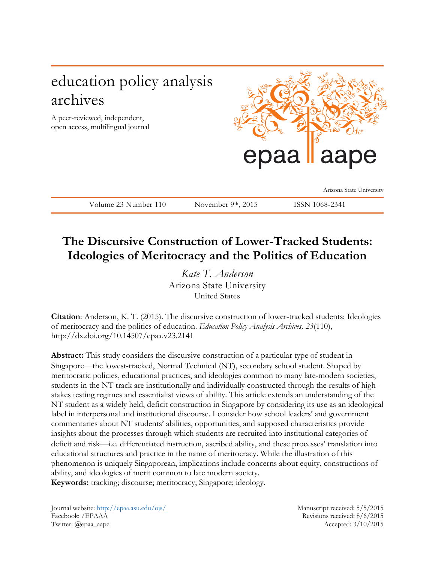# education policy analysis archives

A peer-reviewed, independent, open access, multilingual journal



Volume 23 Number 110 November 9th, 2015 ISSN 1068-2341

Arizona State University

## **The Discursive Construction of Lower-Tracked Students: Ideologies of Meritocracy and the Politics of Education**

*Kate T. Anderson* Arizona State University United States

**Citation**: Anderson, K. T. (2015). The discursive construction of lower-tracked students: Ideologies of meritocracy and the politics of education. *Education Policy Analysis Archives, 23*(110), http://dx.doi.org/10.14507/epaa.v23.2141

**Abstract:** This study considers the discursive construction of a particular type of student in Singapore—the lowest-tracked, Normal Technical (NT), secondary school student. Shaped by meritocratic policies, educational practices, and ideologies common to many late-modern societies, students in the NT track are institutionally and individually constructed through the results of highstakes testing regimes and essentialist views of ability. This article extends an understanding of the NT student as a widely held, deficit construction in Singapore by considering its use as an ideological label in interpersonal and institutional discourse. I consider how school leaders' and government commentaries about NT students' abilities, opportunities, and supposed characteristics provide insights about the processes through which students are recruited into institutional categories of deficit and risk—i.e. differentiated instruction, ascribed ability, and these processes' translation into educational structures and practice in the name of meritocracy. While the illustration of this phenomenon is uniquely Singaporean, implications include concerns about equity, constructions of ability, and ideologies of merit common to late modern society. **Keywords:** tracking; discourse; meritocracy; Singapore; ideology.

Journal website:<http://epaa.asu.edu/ojs/> Manuscript received: 5/5/2015 Facebook: /EPAAA Revisions received: 8/6/2015 Twitter: @epaa\_aape Accepted: 3/10/2015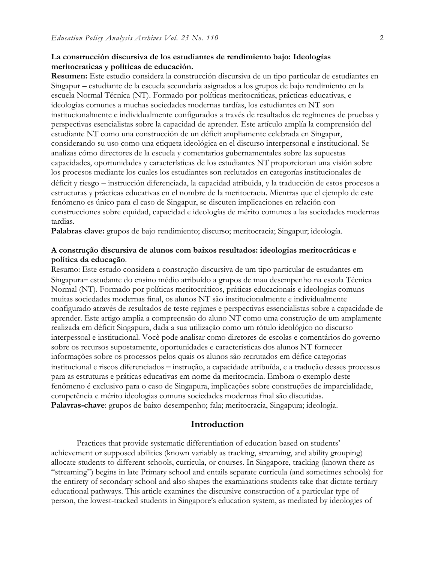#### **La construcción discursiva de los estudiantes de rendimiento bajo: Ideologías meritocraticas y políticas de educación.**

**Resumen:** Este estudio considera la construcción discursiva de un tipo particular de estudiantes en Singapur – estudiante de la escuela secundaria asignados a los grupos de bajo rendimiento en la escuela Normal Técnica (NT). Formado por políticas meritocráticas, prácticas educativas, e ideologías comunes a muchas sociedades modernas tardías, los estudiantes en NT son institucionalmente e individualmente configurados a través de resultados de regímenes de pruebas y perspectivas esencialistas sobre la capacidad de aprender. Este artículo amplía la comprensión del estudiante NT como una construcción de un déficit ampliamente celebrada en Singapur, considerando su uso como una etiqueta ideológica en el discurso interpersonal e institucional. Se analizas cómo directores de la escuela y comentarios gubernamentales sobre las supuestas capacidades, oportunidades y características de los estudiantes NT proporcionan una visión sobre los procesos mediante los cuales los estudiantes son reclutados en categorías institucionales de déficit y riesgo - instrucción diferenciada, la capacidad atribuida, y la traducción de estos procesos a estructuras y prácticas educativas en el nombre de la meritocracia. Mientras que el ejemplo de este fenómeno es único para el caso de Singapur, se discuten implicaciones en relación con construcciones sobre equidad, capacidad e ideologías de mérito comunes a las sociedades modernas tardias.

**Palabras clave:** grupos de bajo rendimiento; discurso; meritocracia; Singapur; ideología.

### **A construção discursiva de alunos com baixos resultados: ideologias meritocráticas e política da educação**.

Resumo: Este estudo considera a construção discursiva de um tipo particular de estudantes em Singapura⎯ estudante do ensino médio atribuído a grupos de mau desempenho na escola Técnica Normal (NT). Formado por políticas meritocráticos, práticas educacionais e ideologias comuns muitas sociedades modernas final, os alunos NT são institucionalmente e individualmente configurado através de resultados de teste regimes e perspectivas essencialistas sobre a capacidade de aprender. Este artigo amplia a compreensão do aluno NT como uma construção de um amplamente realizada em déficit Singapura, dada a sua utilização como um rótulo ideológico no discurso interpessoal e institucional. Você pode analisar como diretores de escolas e comentários do governo sobre os recursos supostamente, oportunidades e características dos alunos NT fornecer informações sobre os processos pelos quais os alunos são recrutados em défice categorias institucional e riscos diferenciados – instrução, a capacidade atribuída, e a tradução desses processos para as estruturas e práticas educativas em nome da meritocracia. Embora o exemplo deste fenômeno é exclusivo para o caso de Singapura, implicações sobre construções de imparcialidade, competência e mérito ideologias comuns sociedades modernas final são discutidas. **Palavras-chave**: grupos de baixo desempenho; fala; meritocracia, Singapura; ideologia.

## **Introduction**

Practices that provide systematic differentiation of education based on students' achievement or supposed abilities (known variably as tracking, streaming, and ability grouping) allocate students to different schools, curricula, or courses. In Singapore, tracking (known there as "streaming") begins in late Primary school and entails separate curricula (and sometimes schools) for the entirety of secondary school and also shapes the examinations students take that dictate tertiary educational pathways. This article examines the discursive construction of a particular type of person, the lowest-tracked students in Singapore's education system, as mediated by ideologies of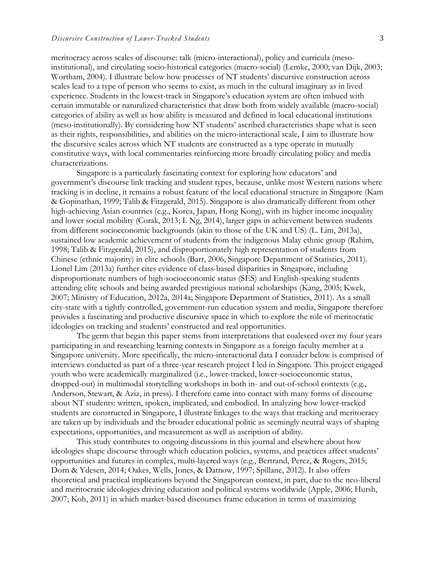meritocracy across scales of discourse: talk (micro-interactional), policy and curricula (mesoinstitutional), and circulating socio-historical categories (macro-social) (Lemke, 2000; van Dijk, 2003; Wortham, 2004). I illustrate below how processes of NT students' discursive construction across scales lead to a type of person who seems to exist, as much in the cultural imaginary as in lived experience. Students in the lowest-track in Singapore's education system are often imbued with certain immutable or naturalized characteristics that draw both from widely available (macro-social) categories of ability as well as how ability is measured and defined in local educational institutions (meso-institutionally). By considering how NT students' ascribed characteristics shape what is seen as their rights, responsibilities, and abilities on the micro-interactional scale, I aim to illustrate how the discursive scales across which NT students are constructed as a type operate in mutually constitutive ways, with local commentaries reinforcing more broadly circulating policy and media characterizations.

Singapore is a particularly fascinating context for exploring how educators' and government's discourse link tracking and student types, because, unlike most Western nations where tracking is in decline, it remains a robust feature of the local educational structure in Singapore (Kam & Gopinathan, 1999; Talib & Fitzgerald, 2015). Singapore is also dramatically different from other high-achieving Asian countries (e.g., Korea, Japan, Hong Kong), with its higher income inequality and lower social mobility (Corak, 2013; I. Ng, 2014), larger gaps in achievement between students from different socioeconomic backgrounds (akin to those of the UK and US) (L. Lim, 2013a), sustained low academic achievement of students from the indigenous Malay ethnic group (Rahim, 1998; Talib & Fitzgerald, 2015), and disproportionately high representation of students from Chinese (ethnic majority) in elite schools (Barr, 2006, Singapore Department of Statistics, 2011). Lionel Lim (2013a) further cites evidence of class-based disparities in Singapore, including disproportionate numbers of high-socioeconomic status (SES) and English-speaking students attending elite schools and being awarded prestigious national scholarships (Kang, 2005; Kwek, 2007; Ministry of Education, 2012a, 2014a; Singapore Department of Statistics, 2011). As a small city-state with a tightly controlled, government-run education system and media, Singapore therefore provides a fascinating and productive discursive space in which to explore the role of meritocratic ideologies on tracking and students' constructed and real opportunities.

The germ that began this paper stems from interpretations that coalesced over my four years participating in and researching learning contexts in Singapore as a foreign faculty member at a Singapore university. More specifically, the micro-interactional data I consider below is comprised of interviews conducted as part of a three-year research project I led in Singapore. This project engaged youth who were academically marginalized (i.e., lower-tracked, lower-socioeconomic status, dropped-out) in multimodal storytelling workshops in both in- and out-of-school contexts (e.g., Anderson, Stewart, & Aziz, in press). I therefore came into contact with many forms of discourse about NT students: written, spoken, implicated, and embodied. In analyzing how lower-tracked students are constructed in Singapore, I illustrate linkages to the ways that tracking and meritocracy are taken up by individuals and the broader educational politic as seemingly neutral ways of shaping expectations, opportunities, and measurement as well as ascription of ability.

This study contributes to ongoing discussions in this journal and elsewhere about how ideologies shape discourse through which education policies, systems, and practices affect students' opportunities and futures in complex, multi-layered ways (e.g., Bertrand, Perez, & Rogers, 2015; Dorn & Ydesen, 2014; Oakes, Wells, Jones, & Datnow, 1997; Spillane, 2012). It also offers theoretical and practical implications beyond the Singaporean context, in part, due to the neo-liberal and meritocratic ideologies driving education and political systems worldwide (Apple, 2006; Hursh, 2007; Koh, 2011) in which market-based discourses frame education in terms of maximizing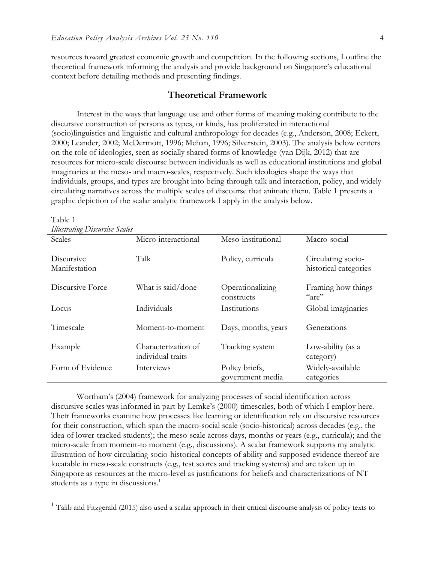resources toward greatest economic growth and competition. In the following sections, I outline the theoretical framework informing the analysis and provide background on Singapore's educational context before detailing methods and presenting findings.

## **Theoretical Framework**

Interest in the ways that language use and other forms of meaning making contribute to the discursive construction of persons as types, or kinds, has proliferated in interactional (socio)linguistics and linguistic and cultural anthropology for decades (e.g., Anderson, 2008; Eckert, 2000; Leander, 2002; McDermott, 1996; Mehan, 1996; Silverstein, 2003). The analysis below centers on the role of ideologies, seen as socially shared forms of knowledge (van Dijk, 2012) that are resources for micro-scale discourse between individuals as well as educational institutions and global imaginaries at the meso- and macro-scales, respectively. Such ideologies shape the ways that individuals, groups, and types are brought into being through talk and interaction, policy, and widely circulating narratives across the multiple scales of discourse that animate them. Table 1 presents a graphic depiction of the scalar analytic framework I apply in the analysis below.

| <b>Illustrating Discursive Scales</b> |                                          |                                    |                                             |
|---------------------------------------|------------------------------------------|------------------------------------|---------------------------------------------|
| Scales                                | Micro-interactional                      | Meso-institutional                 | Macro-social                                |
| Discursive<br>Manifestation           | Talk                                     | Policy, curricula                  | Circulating socio-<br>historical categories |
| Discursive Force                      | What is said/done                        | Operationalizing<br>constructs     | Framing how things<br>"are"                 |
| Locus                                 | Individuals                              | Institutions                       | Global imaginaries                          |
| Timescale                             | Moment-to-moment                         | Days, months, years                | Generations                                 |
| Example                               | Characterization of<br>individual traits | Tracking system                    | Low-ability (as a<br>category)              |
| Form of Evidence                      | Interviews                               | Policy briefs,<br>government media | Widely-available<br>categories              |

Table 1

 $\overline{a}$ 

Wortham's (2004) framework for analyzing processes of social identification across discursive scales was informed in part by Lemke's (2000) timescales, both of which I employ here. Their frameworks examine how processes like learning or identification rely on discursive resources for their construction, which span the macro-social scale (socio-historical) across decades (e.g., the idea of lower-tracked students); the meso-scale across days, months or years (e.g., curricula); and the micro-scale from moment-to moment (e.g., discussions). A scalar framework supports my analytic illustration of how circulating socio-historical concepts of ability and supposed evidence thereof are locatable in meso-scale constructs (e.g., test scores and tracking systems) and are taken up in Singapore as resources at the micro-level as justifications for beliefs and characterizations of NT students as a type in discussions. 1

 $1$  Talib and Fitzgerald (2015) also used a scalar approach in their critical discourse analysis of policy texts to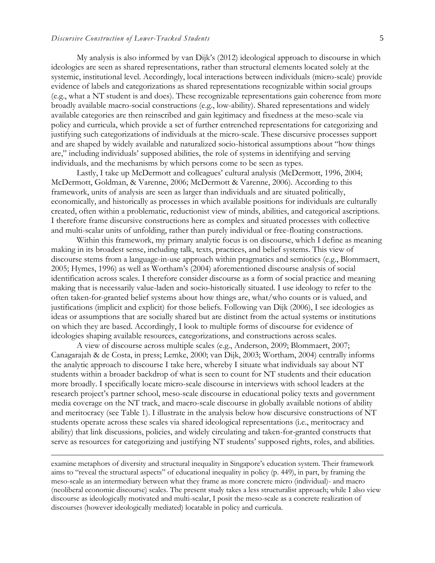$\overline{a}$ 

My analysis is also informed by van Dijk's (2012) ideological approach to discourse in which ideologies are seen as shared representations, rather than structural elements located solely at the systemic, institutional level. Accordingly, local interactions between individuals (micro-scale) provide evidence of labels and categorizations as shared representations recognizable within social groups (e.g., what a NT student is and does). These recognizable representations gain coherence from more broadly available macro-social constructions (e.g., low-ability). Shared representations and widely available categories are then reinscribed and gain legitimacy and fixedness at the meso-scale via policy and curricula, which provide a set of further entrenched representations for categorizing and justifying such categorizations of individuals at the micro-scale. These discursive processes support and are shaped by widely available and naturalized socio-historical assumptions about "how things are," including individuals' supposed abilities, the role of systems in identifying and serving individuals, and the mechanisms by which persons come to be seen as types.

Lastly, I take up McDermott and colleagues' cultural analysis (McDermott, 1996, 2004; McDermott, Goldman, & Varenne, 2006; McDermott & Varenne, 2006). According to this framework, units of analysis are seen as larger than individuals and are situated politically, economically, and historically as processes in which available positions for individuals are culturally created, often within a problematic, reductionist view of minds, abilities, and categorical ascriptions. I therefore frame discursive constructions here as complex and situated processes with collective and multi-scalar units of unfolding, rather than purely individual or free-floating constructions.

Within this framework, my primary analytic focus is on discourse, which I define as meaning making in its broadest sense, including talk, texts, practices, and belief systems. This view of discourse stems from a language-in-use approach within pragmatics and semiotics (e.g., Blommaert, 2005; Hymes, 1996) as well as Wortham's (2004) aforementioned discourse analysis of social identification across scales. I therefore consider discourse as a form of social practice and meaning making that is necessarily value-laden and socio-historically situated. I use ideology to refer to the often taken-for-granted belief systems about how things are, what/who counts or is valued, and justifications (implicit and explicit) for those beliefs. Following van Dijk (2006), I see ideologies as ideas or assumptions that are socially shared but are distinct from the actual systems or institutions on which they are based. Accordingly, I look to multiple forms of discourse for evidence of ideologies shaping available resources, categorizations, and constructions across scales.

A view of discourse across multiple scales (e.g., Anderson, 2009; Blommaert, 2007; Canagarajah & de Costa, in press; Lemke, 2000; van Dijk, 2003; Wortham, 2004) centrally informs the analytic approach to discourse I take here, whereby I situate what individuals say about NT students within a broader backdrop of what is seen to count for NT students and their education more broadly. I specifically locate micro-scale discourse in interviews with school leaders at the research project's partner school, meso-scale discourse in educational policy texts and government media coverage on the NT track, and macro-scale discourse in globally available notions of ability and meritocracy (see Table 1). I illustrate in the analysis below how discursive constructions of NT students operate across these scales via shared ideological representations (i.e., meritocracy and ability) that link discussions, policies, and widely circulating and taken-for-granted constructs that serve as resources for categorizing and justifying NT students' supposed rights, roles, and abilities.

examine metaphors of diversity and structural inequality in Singapore's education system. Their framework aims to "reveal the structural aspects" of educational inequality in policy (p. 449), in part, by framing the meso-scale as an intermediary between what they frame as more concrete micro (individual)- and macro (neoliberal economic discourse) scales. The present study takes a less structuralist approach; while I also view discourse as ideologically motivated and multi-scalar, I posit the meso-scale as a concrete realization of discourses (however ideologically mediated) locatable in policy and curricula.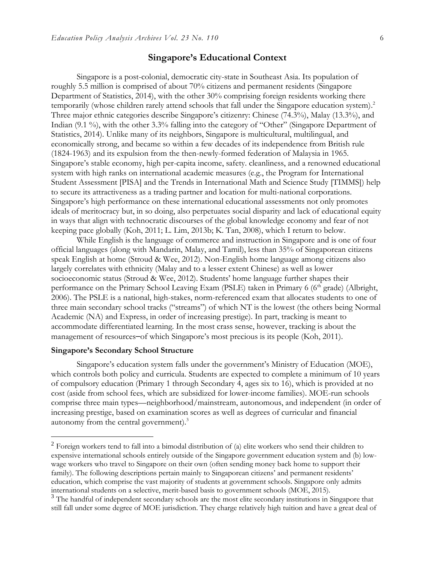#### **Singapore's Educational Context**

Singapore is a post-colonial, democratic city-state in Southeast Asia. Its population of roughly 5.5 million is comprised of about 70% citizens and permanent residents (Singapore Department of Statistics, 2014), with the other 30% comprising foreign residents working there temporarily (whose children rarely attend schools that fall under the Singapore education system).<sup>2</sup> Three major ethnic categories describe Singapore's citizenry: Chinese (74.3%), Malay (13.3%), and Indian (9.1 %), with the other 3.3% falling into the category of "Other" (Singapore Department of Statistics, 2014). Unlike many of its neighbors, Singapore is multicultural, multilingual, and economically strong, and became so within a few decades of its independence from British rule (1824-1963) and its expulsion from the then-newly-formed federation of Malaysia in 1965. Singapore's stable economy, high per-capita income, safety. cleanliness, and a renowned educational system with high ranks on international academic measures (e.g., the Program for International Student Assessment [PISA] and the Trends in International Math and Science Study [TIMMS]) help to secure its attractiveness as a trading partner and location for multi-national corporations. Singapore's high performance on these international educational assessments not only promotes ideals of meritocracy but, in so doing, also perpetuates social disparity and lack of educational equity in ways that align with technocratic discourses of the global knowledge economy and fear of not keeping pace globally (Koh, 2011; L. Lim, 2013b; K. Tan, 2008), which I return to below.

While English is the language of commerce and instruction in Singapore and is one of four official languages (along with Mandarin, Malay, and Tamil), less than 35% of Singaporean citizens speak English at home (Stroud & Wee, 2012). Non-English home language among citizens also largely correlates with ethnicity (Malay and to a lesser extent Chinese) as well as lower socioeconomic status (Stroud & Wee, 2012). Students' home language further shapes their performance on the Primary School Leaving Exam (PSLE) taken in Primary 6 (6<sup>th</sup> grade) (Albright, 2006). The PSLE is a national, high-stakes, norm-referenced exam that allocates students to one of three main secondary school tracks ("streams") of which NT is the lowest (the others being Normal Academic (NA) and Express, in order of increasing prestige). In part, tracking is meant to accommodate differentiated learning. In the most crass sense, however, tracking is about the management of resources–of which Singapore's most precious is its people (Koh, 2011).

#### **Singapore's Secondary School Structure**

 $\overline{a}$ 

Singapore's education system falls under the government's Ministry of Education (MOE), which controls both policy and curricula. Students are expected to complete a minimum of 10 years of compulsory education (Primary 1 through Secondary 4, ages six to 16), which is provided at no cost (aside from school fees, which are subsidized for lower-income families). MOE-run schools comprise three main types—neighborhood/mainstream, autonomous, and independent (in order of increasing prestige, based on examination scores as well as degrees of curricular and financial autonomy from the central government).<sup>3</sup>

<sup>&</sup>lt;sup>2</sup> Foreign workers tend to fall into a bimodal distribution of (a) elite workers who send their children to expensive international schools entirely outside of the Singapore government education system and (b) lowwage workers who travel to Singapore on their own (often sending money back home to support their family). The following descriptions pertain mainly to Singaporean citizens' and permanent residents' education, which comprise the vast majority of students at government schools. Singapore only admits international students on a selective, merit-based basis to government schools (MOE, 2015).

<sup>&</sup>lt;sup>3</sup> The handful of independent secondary schools are the most elite secondary institutions in Singapore that still fall under some degree of MOE jurisdiction. They charge relatively high tuition and have a great deal of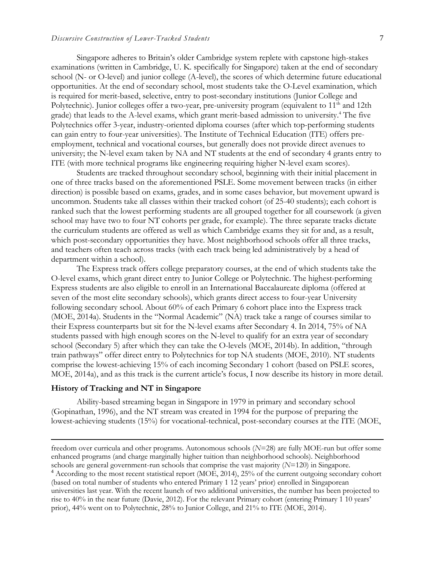Singapore adheres to Britain's older Cambridge system replete with capstone high-stakes examinations (written in Cambridge, U. K. specifically for Singapore) taken at the end of secondary school (N- or O-level) and junior college (A-level), the scores of which determine future educational opportunities. At the end of secondary school, most students take the O-Level examination, which is required for merit-based, selective, entry to post-secondary institutions (Junior College and Polytechnic). Junior colleges offer a two-year, pre-university program (equivalent to 11<sup>th</sup> and 12th grade) that leads to the A-level exams, which grant merit-based admission to university. <sup>4</sup> The five Polytechnics offer 3-year, industry-oriented diploma courses (after which top-performing students can gain entry to four-year universities). The Institute of Technical Education (ITE) offers preemployment, technical and vocational courses, but generally does not provide direct avenues to university; the N-level exam taken by NA and NT students at the end of secondary 4 grants entry to ITE (with more technical programs like engineering requiring higher N-level exam scores).

Students are tracked throughout secondary school, beginning with their initial placement in one of three tracks based on the aforementioned PSLE. Some movement between tracks (in either direction) is possible based on exams, grades, and in some cases behavior, but movement upward is uncommon. Students take all classes within their tracked cohort (of 25-40 students); each cohort is ranked such that the lowest performing students are all grouped together for all coursework (a given school may have two to four NT cohorts per grade, for example). The three separate tracks dictate the curriculum students are offered as well as which Cambridge exams they sit for and, as a result, which post-secondary opportunities they have. Most neighborhood schools offer all three tracks, and teachers often teach across tracks (with each track being led administratively by a head of department within a school).

The Express track offers college preparatory courses, at the end of which students take the O-level exams, which grant direct entry to Junior College or Polytechnic. The highest-performing Express students are also eligible to enroll in an International Baccalaureate diploma (offered at seven of the most elite secondary schools), which grants direct access to four-year University following secondary school. About 60% of each Primary 6 cohort place into the Express track (MOE, 2014a). Students in the "Normal Academic" (NA) track take a range of courses similar to their Express counterparts but sit for the N-level exams after Secondary 4. In 2014, 75% of NA students passed with high enough scores on the N-level to qualify for an extra year of secondary school (Secondary 5) after which they can take the O-levels (MOE, 2014b). In addition, "through train pathways" offer direct entry to Polytechnics for top NA students (MOE, 2010). NT students comprise the lowest-achieving 15% of each incoming Secondary 1 cohort (based on PSLE scores, MOE, 2014a), and as this track is the current article's focus, I now describe its history in more detail.

#### **History of Tracking and NT in Singapore**

 $\overline{a}$ 

Ability-based streaming began in Singapore in 1979 in primary and secondary school (Gopinathan, 1996), and the NT stream was created in 1994 for the purpose of preparing the lowest-achieving students (15%) for vocational-technical, post-secondary courses at the ITE (MOE,

freedom over curricula and other programs. Autonomous schools (*N*=28) are fully MOE-run but offer some enhanced programs (and charge marginally higher tuition than neighborhood schools). Neighborhood schools are general government-run schools that comprise the vast majority (*N*=120) in Singapore. <sup>4</sup> According to the most recent statistical report (MOE, 2014), 25% of the current outgoing secondary cohort (based on total number of students who entered Primary 1 12 years' prior) enrolled in Singaporean universities last year. With the recent launch of two additional universities, the number has been projected to rise to 40% in the near future (Davie, 2012). For the relevant Primary cohort (entering Primary 1 10 years' prior), 44% went on to Polytechnic, 28% to Junior College, and 21% to ITE (MOE, 2014).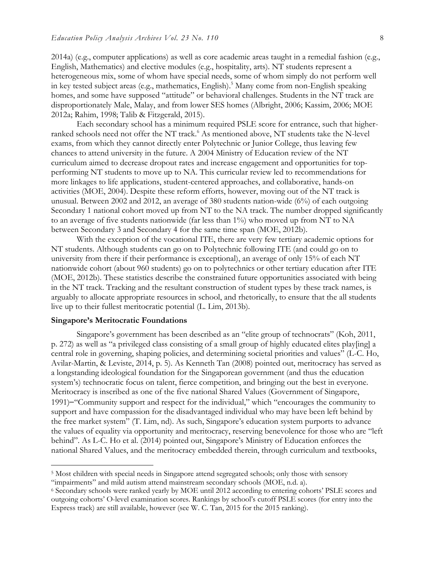2014a) (e.g., computer applications) as well as core academic areas taught in a remedial fashion (e.g., English, Mathematics) and elective modules (e.g., hospitality, arts). NT students represent a heterogeneous mix, some of whom have special needs, some of whom simply do not perform well in key tested subject areas (e.g., mathematics, English). <sup>5</sup> Many come from non-English speaking homes, and some have supposed "attitude" or behavioral challenges. Students in the NT track are disproportionately Male, Malay, and from lower SES homes (Albright, 2006; Kassim, 2006; MOE 2012a; Rahim, 1998; Talib & Fitzgerald, 2015).

Each secondary school has a minimum required PSLE score for entrance, such that higherranked schools need not offer the NT track.<sup>6</sup> As mentioned above, NT students take the N-level exams, from which they cannot directly enter Polytechnic or Junior College, thus leaving few chances to attend university in the future. A 2004 Ministry of Education review of the NT curriculum aimed to decrease dropout rates and increase engagement and opportunities for topperforming NT students to move up to NA. This curricular review led to recommendations for more linkages to life applications, student-centered approaches, and collaborative, hands-on activities (MOE, 2004). Despite these reform efforts, however, moving out of the NT track is unusual. Between 2002 and 2012, an average of 380 students nation-wide (6%) of each outgoing Secondary 1 national cohort moved up from NT to the NA track. The number dropped significantly to an average of five students nationwide (far less than 1%) who moved up from NT to NA between Secondary 3 and Secondary 4 for the same time span (MOE, 2012b).

With the exception of the vocational ITE, there are very few tertiary academic options for NT students. Although students can go on to Polytechnic following ITE (and could go on to university from there if their performance is exceptional), an average of only 15% of each NT nationwide cohort (about 960 students) go on to polytechnics or other tertiary education after ITE (MOE, 2012b). These statistics describe the constrained future opportunities associated with being in the NT track. Tracking and the resultant construction of student types by these track names, is arguably to allocate appropriate resources in school, and rhetorically, to ensure that the all students live up to their fullest meritocratic potential (L. Lim, 2013b).

#### **Singapore's Meritocratic Foundations**

 $\overline{a}$ 

Singapore's government has been described as an "elite group of technocrats" (Koh, 2011, p. 272) as well as "a privileged class consisting of a small group of highly educated elites play[ing] a central role in governing, shaping policies, and determining societal priorities and values" (L-C. Ho, Avilar-Martin, & Leviste, 2014, p. 5). As Kenneth Tan (2008) pointed out, meritocracy has served as a longstanding ideological foundation for the Singaporean government (and thus the education system's) technocratic focus on talent, fierce competition, and bringing out the best in everyone. Meritocracy is inscribed as one of the five national Shared Values (Government of Singapore, 1991)–"Community support and respect for the individual," which "encourages the community to support and have compassion for the disadvantaged individual who may have been left behind by the free market system" (T. Lim, nd). As such, Singapore's education system purports to advance the values of equality via opportunity and meritocracy, reserving benevolence for those who are "left behind". As L-C. Ho et al. (2014) pointed out, Singapore's Ministry of Education enforces the national Shared Values, and the meritocracy embedded therein, through curriculum and textbooks,

<sup>5</sup> Most children with special needs in Singapore attend segregated schools; only those with sensory "impairments" and mild autism attend mainstream secondary schools (MOE, n.d. a).

<sup>6</sup> Secondary schools were ranked yearly by MOE until 2012 according to entering cohorts' PSLE scores and outgoing cohorts' O-level examination scores. Rankings by school's cutoff PSLE scores (for entry into the Express track) are still available, however (see W. C. Tan, 2015 for the 2015 ranking).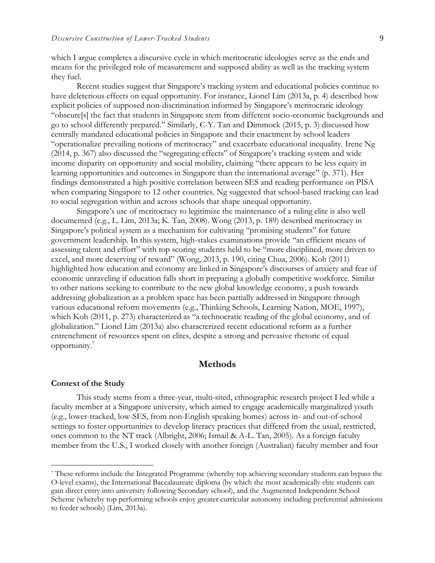which I argue completes a discursive cycle in which meritocratic ideologies serve as the ends and means for the privileged role of measurement and supposed ability as well as the tracking system they fuel.

Recent studies suggest that Singapore's tracking system and educational policies continue to have deleterious effects on equal opportunity. For instance, Lionel Lim (2013a, p. 4) described how explicit policies of supposed non-discrimination informed by Singapore's meritocratic ideology "obscure[s] the fact that students in Singapore stem from different socio-economic backgrounds and go to school differently prepared." Similarly, C-Y. Tan and Dimmock (2015, p. 3) discussed how centrally mandated educational policies in Singapore and their enactment by school leaders "operationalize prevailing notions of meritocracy" and exacerbate educational inequality. Irene Ng (2014, p. 367) also discussed the "segregating effects" of Singapore's tracking system and wide income disparity on opportunity and social mobility, claiming "there appears to be less equity in learning opportunities and outcomes in Singapore than the international average" (p. 371). Her findings demonstrated a high positive correlation between SES and reading performance on PISA when comparing Singapore to 12 other countries. Ng suggested that school-based tracking can lead to social segregation within and across schools that shape unequal opportunity.

Singapore's use of meritocracy to legitimize the maintenance of a ruling elite is also well documented (e.g., L. Lim, 2013a; K. Tan, 2008). Wong (2013, p. 189) described meritocracy in Singapore's political system as a mechanism for cultivating "promising students" for future government leadership. In this system, high-stakes examinations provide "an efficient means of assessing talent and effort" with top scoring students held to be "more disciplined, more driven to excel, and more deserving of reward" (Wong, 2013, p. 190, citing Chua, 2006). Koh (2011) highlighted how education and economy are linked in Singapore's discourses of anxiety and fear of economic unraveling if education falls short in preparing a globally competitive workforce. Similar to other nations seeking to contribute to the new global knowledge economy, a push towards addressing globalization as a problem space has been partially addressed in Singapore through various educational reform movements (e.g., Thinking Schools, Learning Nation, MOE, 1997), which Koh (2011, p. 273) characterized as "a technocratic reading of the global economy, and of globalization." Lionel Lim (2013a) also characterized recent educational reform as a further entrenchment of resources spent on elites, despite a strong and pervasive rhetoric of equal opportunity.<sup>7</sup>

## **Methods**

#### **Context of the Study**

 $\overline{a}$ 

This study stems from a three-year, multi-sited, ethnographic research project I led while a faculty member at a Singapore university, which aimed to engage academically marginalized youth (e.g., lower-tracked, low-SES, from non-English speaking homes) across in- and out-of-school settings to foster opportunities to develop literacy practices that differed from the usual, restricted, ones common to the NT track (Albright, 2006; Ismail & A-L. Tan, 2005). As a foreign faculty member from the U.S., I worked closely with another foreign (Australian) faculty member and four

<sup>7</sup> These reforms include the Integrated Programme (whereby top achieving secondary students can bypass the O-level exams), the International Baccalaureate diploma (by which the most academically elite students can gain direct entry into university following Secondary school), and the Augmented Independent School Scheme (whereby top performing schools enjoy greater curricular autonomy including preferential admissions to feeder schools) (Lim, 2013a).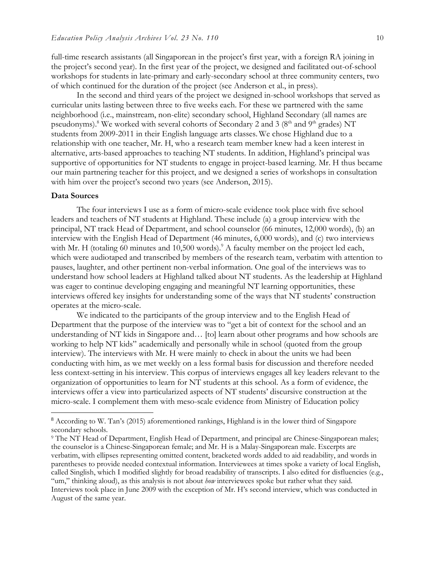full-time research assistants (all Singaporean in the project's first year, with a foreign RA joining in the project's second year). In the first year of the project, we designed and facilitated out-of-school workshops for students in late-primary and early-secondary school at three community centers, two of which continued for the duration of the project (see Anderson et al., in press).

In the second and third years of the project we designed in-school workshops that served as curricular units lasting between three to five weeks each. For these we partnered with the same neighborhood (i.e., mainstream, non-elite) secondary school, Highland Secondary (all names are pseudonyms).<sup>8</sup> We worked with several cohorts of Secondary 2 and 3 ( $8<sup>th</sup>$  and  $9<sup>th</sup>$  grades) NT students from 2009-2011 in their English language arts classes. We chose Highland due to a relationship with one teacher, Mr. H, who a research team member knew had a keen interest in alternative, arts-based approaches to teaching NT students. In addition, Highland's principal was supportive of opportunities for NT students to engage in project-based learning. Mr. H thus became our main partnering teacher for this project, and we designed a series of workshops in consultation with him over the project's second two years (see Anderson, 2015).

#### **Data Sources**

 $\overline{a}$ 

The four interviews I use as a form of micro-scale evidence took place with five school leaders and teachers of NT students at Highland. These include (a) a group interview with the principal, NT track Head of Department, and school counselor (66 minutes, 12,000 words), (b) an interview with the English Head of Department (46 minutes, 6,000 words), and (c) two interviews with Mr. H (totaling 60 minutes and 10,500 words).<sup>9</sup> A faculty member on the project led each, which were audiotaped and transcribed by members of the research team, verbatim with attention to pauses, laughter, and other pertinent non-verbal information. One goal of the interviews was to understand how school leaders at Highland talked about NT students. As the leadership at Highland was eager to continue developing engaging and meaningful NT learning opportunities, these interviews offered key insights for understanding some of the ways that NT students' construction operates at the micro-scale.

We indicated to the participants of the group interview and to the English Head of Department that the purpose of the interview was to "get a bit of context for the school and an understanding of NT kids in Singapore and… [to] learn about other programs and how schools are working to help NT kids" academically and personally while in school (quoted from the group interview). The interviews with Mr. H were mainly to check in about the units we had been conducting with him, as we met weekly on a less formal basis for discussion and therefore needed less context-setting in his interview. This corpus of interviews engages all key leaders relevant to the organization of opportunities to learn for NT students at this school. As a form of evidence, the interviews offer a view into particularized aspects of NT students' discursive construction at the micro-scale. I complement them with meso-scale evidence from Ministry of Education policy

<sup>8</sup> According to W. Tan's (2015) aforementioned rankings, Highland is in the lower third of Singapore secondary schools.

<sup>9</sup> The NT Head of Department, English Head of Department, and principal are Chinese-Singaporean males; the counselor is a Chinese-Singaporean female; and Mr. H is a Malay-Singaporean male. Excerpts are verbatim, with ellipses representing omitted content, bracketed words added to aid readability, and words in parentheses to provide needed contextual information. Interviewees at times spoke a variety of local English, called Singlish, which I modified slightly for broad readability of transcripts. I also edited for disfluencies (e.g., "um," thinking aloud), as this analysis is not about *how* interviewees spoke but rather what they said. Interviews took place in June 2009 with the exception of Mr. H's second interview, which was conducted in August of the same year.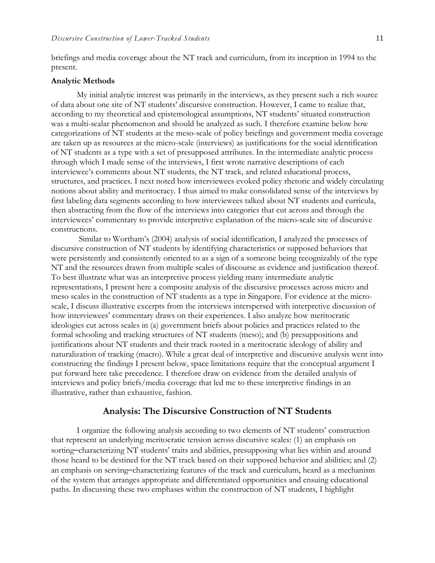briefings and media coverage about the NT track and curriculum, from its inception in 1994 to the present.

#### **Analytic Methods**

My initial analytic interest was primarily in the interviews, as they present such a rich source of data about one site of NT students' discursive construction. However, I came to realize that, according to my theoretical and epistemological assumptions, NT students' situated construction was a multi-scalar phenomenon and should be analyzed as such. I therefore examine below how categorizations of NT students at the meso-scale of policy briefings and government media coverage are taken up as resources at the micro-scale (interviews) as justifications for the social identification of NT students as a type with a set of presupposed attributes. In the intermediate analytic process through which I made sense of the interviews, I first wrote narrative descriptions of each interviewee's comments about NT students, the NT track, and related educational process, structures, and practices. I next noted how interviewees evoked policy rhetoric and widely circulating notions about ability and meritocracy. I thus aimed to make consolidated sense of the interviews by first labeling data segments according to how interviewees talked about NT students and curricula, then abstracting from the flow of the interviews into categories that cut across and through the interviewees' commentary to provide interpretive explanation of the micro-scale site of discursive constructions.

Similar to Wortham's (2004) analysis of social identification, I analyzed the processes of discursive construction of NT students by identifying characteristics or supposed behaviors that were persistently and consistently oriented to as a sign of a someone being recognizably of the type NT and the resources drawn from multiple scales of discourse as evidence and justification thereof. To best illustrate what was an interpretive process yielding many intermediate analytic representations, I present here a composite analysis of the discursive processes across micro and meso scales in the construction of NT students as a type in Singapore. For evidence at the microscale, I discuss illustrative excerpts from the interviews interspersed with interpretive discussion of how interviewees' commentary draws on their experiences. I also analyze how meritocratic ideologies cut across scales in (a) government briefs about policies and practices related to the formal schooling and tracking structures of NT students (meso); and (b) presuppositions and justifications about NT students and their track rooted in a meritocratic ideology of ability and naturalization of tracking (macro). While a great deal of interpretive and discursive analysis went into constructing the findings I present below, space limitations require that the conceptual argument I put forward here take precedence. I therefore draw on evidence from the detailed analysis of interviews and policy briefs/media coverage that led me to these interpretive findings in an illustrative, rather than exhaustive, fashion.

#### **Analysis: The Discursive Construction of NT Students**

I organize the following analysis according to two elements of NT students' construction that represent an underlying meritocratic tension across discursive scales: (1) an emphasis on sorting–characterizing NT students' traits and abilities, presupposing what lies within and around those heard to be destined for the NT track based on their supposed behavior and abilities; and (2) an emphasis on serving–characterizing features of the track and curriculum, heard as a mechanism of the system that arranges appropriate and differentiated opportunities and ensuing educational paths. In discussing these two emphases within the construction of NT students, I highlight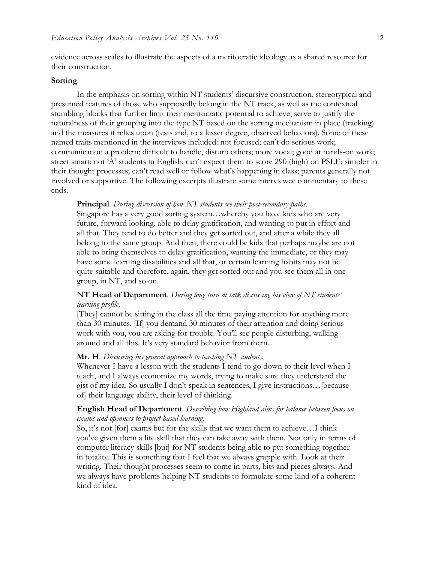evidence across scales to illustrate the aspects of a meritocratic ideology as a shared resource for their construction.

#### **Sorting**

In the emphasis on sorting within NT students' discursive construction, stereotypical and presumed features of those who supposedly belong in the NT track, as well as the contextual stumbling blocks that further limit their meritocratic potential to achieve, serve to justify the naturalness of their grouping into the type NT based on the sorting mechanism in place (tracking) and the measures it relies upon (tests and, to a lesser degree, observed behaviors). Some of these named traits mentioned in the interviews included: not focused; can't do serious work; communication a problem; difficult to handle, disturb others; more vocal; good at hands-on work; street smart; not 'A' students in English; can't expect them to score 290 (high) on PSLE; simpler in their thought processes; can't read well or follow what's happening in class; parents generally not involved or supportive. The following excerpts illustrate some interviewee commentary to these ends.

#### **Principal***. During discussion of how NT students see their post-secondary paths.*

Singapore has a very good sorting system…whereby you have kids who are very future, forward looking, able to delay gratification, and wanting to put in effort and all that. They tend to do better and they get sorted out, and after a while they all belong to the same group. And then, there could be kids that perhaps maybe are not able to bring themselves to delay gratification, wanting the immediate, or they may have some learning disabilities and all that, or certain learning habits may not be quite suitable and therefore, again, they get sorted out and you see them all in one group, in NT, and so on.

### **NT Head of Department***. During long turn at talk discussing his view of NT students' learning profile.*

[They] cannot be sitting in the class all the time paying attention for anything more than 30 minutes. [If] you demand 30 minutes of their attention and doing serious work with you, you are asking for trouble. You'll see people disturbing, walking around and all this. It's very standard behavior from them.

#### **Mr. H***. Discussing his general approach to teaching NT students.*

Whenever I have a lesson with the students I tend to go down to their level when I teach, and I always economize my words, trying to make sure they understand the gist of my idea. So usually I don't speak in sentences, I give instructions…[because of] their language ability, their level of thinking.

#### **English Head of Department***. Describing how Highland aims for balance between focus on exams and openness to project-based learning.*

So, it's not [for] exams but for the skills that we want them to achieve…I think you've given them a life skill that they can take away with them. Not only in terms of computer literacy skills [but] for NT students being able to put something together in totality. This is something that I feel that we always grapple with. Look at their writing. Their thought processes seem to come in parts, bits and pieces always. And we always have problems helping NT students to formulate some kind of a coherent kind of idea.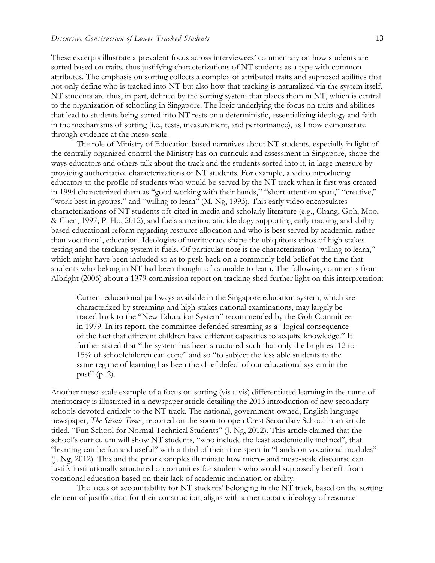These excerpts illustrate a prevalent focus across interviewees' commentary on how students are sorted based on traits, thus justifying characterizations of NT students as a type with common attributes. The emphasis on sorting collects a complex of attributed traits and supposed abilities that not only define who is tracked into NT but also how that tracking is naturalized via the system itself. NT students are thus, in part, defined by the sorting system that places them in NT, which is central to the organization of schooling in Singapore. The logic underlying the focus on traits and abilities that lead to students being sorted into NT rests on a deterministic, essentializing ideology and faith in the mechanisms of sorting (i.e., tests, measurement, and performance), as I now demonstrate through evidence at the meso-scale.

The role of Ministry of Education-based narratives about NT students, especially in light of the centrally organized control the Ministry has on curricula and assessment in Singapore, shape the ways educators and others talk about the track and the students sorted into it, in large measure by providing authoritative characterizations of NT students. For example, a video introducing educators to the profile of students who would be served by the NT track when it first was created in 1994 characterized them as "good working with their hands," "short attention span," "creative," "work best in groups," and "willing to learn" (M. Ng, 1993). This early video encapsulates characterizations of NT students oft-cited in media and scholarly literature (e.g., Chang, Goh, Moo, & Chen, 1997; P. Ho, 2012), and fuels a meritocratic ideology supporting early tracking and abilitybased educational reform regarding resource allocation and who is best served by academic, rather than vocational, education. Ideologies of meritocracy shape the ubiquitous ethos of high-stakes testing and the tracking system it fuels. Of particular note is the characterization "willing to learn," which might have been included so as to push back on a commonly held belief at the time that students who belong in NT had been thought of as unable to learn. The following comments from Albright (2006) about a 1979 commission report on tracking shed further light on this interpretation:

Current educational pathways available in the Singapore education system, which are characterized by streaming and high-stakes national examinations, may largely be traced back to the "New Education System" recommended by the Goh Committee in 1979. In its report, the committee defended streaming as a "logical consequence of the fact that different children have different capacities to acquire knowledge." It further stated that "the system has been structured such that only the brightest 12 to 15% of schoolchildren can cope" and so "to subject the less able students to the same regime of learning has been the chief defect of our educational system in the past" (p. 2).

Another meso-scale example of a focus on sorting (vis a vis) differentiated learning in the name of meritocracy is illustrated in a newspaper article detailing the 2013 introduction of new secondary schools devoted entirely to the NT track. The national, government-owned, English language newspaper, *The Straits Times*, reported on the soon-to-open Crest Secondary School in an article titled, "Fun School for Normal Technical Students" (J. Ng, 2012). This article claimed that the school's curriculum will show NT students, "who include the least academically inclined", that "learning can be fun and useful" with a third of their time spent in "hands-on vocational modules" (J. Ng, 2012). This and the prior examples illuminate how micro- and meso-scale discourse can justify institutionally structured opportunities for students who would supposedly benefit from vocational education based on their lack of academic inclination or ability.

The locus of accountability for NT students' belonging in the NT track, based on the sorting element of justification for their construction, aligns with a meritocratic ideology of resource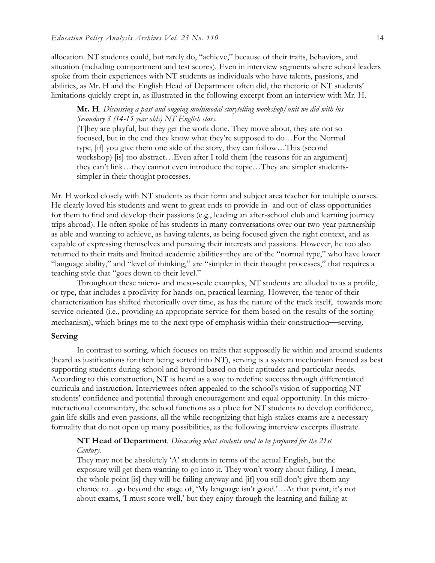allocation. NT students could, but rarely do, "achieve," because of their traits, behaviors, and situation (including comportment and test scores). Even in interview segments where school leaders spoke from their experiences with NT students as individuals who have talents, passions, and abilities, as Mr. H and the English Head of Department often did, the rhetoric of NT students' limitations quickly crept in, as illustrated in the following excerpt from an interview with Mr. H.

## **Mr. H***. Discussing a past and ongoing multimodal storytelling workshop/unit we did with his Secondary 3 (14-15 year olds) NT English class.*

[T]hey are playful, but they get the work done. They move about, they are not so focused, but in the end they know what they're supposed to do…For the Normal type, [if] you give them one side of the story, they can follow…This (second workshop) [is] too abstract...Even after I told them [the reasons for an argument] they can't link…they cannot even introduce the topic…They are simpler studentssimpler in their thought processes.

Mr. H worked closely with NT students as their form and subject area teacher for multiple courses. He clearly loved his students and went to great ends to provide in- and out-of-class opportunities for them to find and develop their passions (e.g., leading an after-school club and learning journey trips abroad). He often spoke of his students in many conversations over our two-year partnership as able and wanting to achieve, as having talents, as being focused given the right context, and as capable of expressing themselves and pursuing their interests and passions. However, he too also returned to their traits and limited academic abilities-they are of the "normal type," who have lower "language ability," and "level of thinking," are "simpler in their thought processes," that requires a teaching style that "goes down to their level."

Throughout these micro- and meso-scale examples, NT students are alluded to as a profile, or type, that includes a proclivity for hands-on, practical learning. However, the tenor of their characterization has shifted rhetorically over time, as has the nature of the track itself, towards more service-oriented (i.e., providing an appropriate service for them based on the results of the sorting mechanism), which brings me to the next type of emphasis within their construction—serving.

#### **Serving**

In contrast to sorting, which focuses on traits that supposedly lie within and around students (heard as justifications for their being sorted into NT), serving is a system mechanism framed as best supporting students during school and beyond based on their aptitudes and particular needs. According to this construction, NT is heard as a way to redefine success through differentiated curricula and instruction. Interviewees often appealed to the school's vision of supporting NT students' confidence and potential through encouragement and equal opportunity. In this microinteractional commentary, the school functions as a place for NT students to develop confidence, gain life skills and even passions, all the while recognizing that high-stakes exams are a necessary formality that do not open up many possibilities, as the following interview excerpts illustrate.

#### **NT Head of Department***. Discussing what students need to be prepared for the 21st Century.*

They may not be absolutely 'A' students in terms of the actual English, but the exposure will get them wanting to go into it. They won't worry about failing. I mean, the whole point [is] they will be failing anyway and [if] you still don't give them any chance to…go beyond the stage of, 'My language isn't good.'…At that point, it's not about exams, 'I must score well,' but they enjoy through the learning and failing at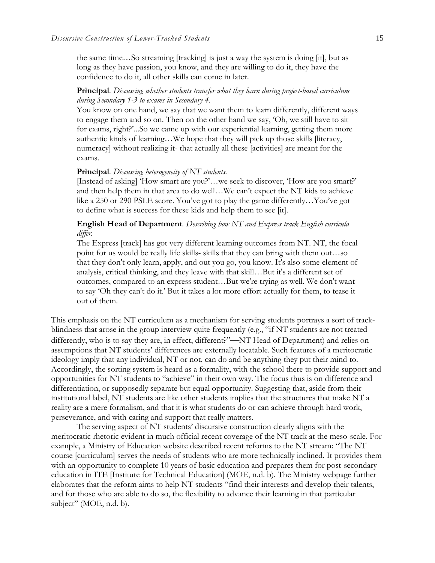the same time…So streaming [tracking] is just a way the system is doing [it], but as long as they have passion, you know, and they are willing to do it, they have the confidence to do it, all other skills can come in later.

## **Principal***. Discussing whether students transfer what they learn during project-based curriculum during Secondary 1-3 to exams in Secondary 4.*

You know on one hand, we say that we want them to learn differently, different ways to engage them and so on. Then on the other hand we say, 'Oh, we still have to sit for exams, right?'...So we came up with our experiential learning, getting them more authentic kinds of learning…We hope that they will pick up those skills [literacy, numeracy] without realizing it- that actually all these [activities] are meant for the exams.

#### **Principal***. Discussing heterogeneity of NT students.*

[Instead of asking] 'How smart are you?'…we seek to discover, 'How are you smart?' and then help them in that area to do well…We can't expect the NT kids to achieve like a 250 or 290 PSLE score. You've got to play the game differently…You've got to define what is success for these kids and help them to see [it].

#### **English Head of Department***. Describing how NT and Express track English curricula differ.*

The Express [track] has got very different learning outcomes from NT. NT, the focal point for us would be really life skills- skills that they can bring with them out…so that they don't only learn, apply, and out you go, you know. It's also some element of analysis, critical thinking, and they leave with that skill…But it's a different set of outcomes, compared to an express student…But we're trying as well. We don't want to say 'Oh they can't do it.' But it takes a lot more effort actually for them, to tease it out of them.

This emphasis on the NT curriculum as a mechanism for serving students portrays a sort of trackblindness that arose in the group interview quite frequently (e.g., "if NT students are not treated differently, who is to say they are, in effect, different?"—NT Head of Department) and relies on assumptions that NT students' differences are externally locatable. Such features of a meritocratic ideology imply that any individual, NT or not, can do and be anything they put their mind to. Accordingly, the sorting system is heard as a formality, with the school there to provide support and opportunities for NT students to "achieve" in their own way. The focus thus is on difference and differentiation, or supposedly separate but equal opportunity. Suggesting that, aside from their institutional label, NT students are like other students implies that the structures that make NT a reality are a mere formalism, and that it is what students do or can achieve through hard work, perseverance, and with caring and support that really matters.

The serving aspect of NT students' discursive construction clearly aligns with the meritocratic rhetoric evident in much official recent coverage of the NT track at the meso-scale. For example, a Ministry of Education website described recent reforms to the NT stream: "The NT course [curriculum] serves the needs of students who are more technically inclined. It provides them with an opportunity to complete 10 years of basic education and prepares them for post-secondary education in ITE [Institute for Technical Education] (MOE, n.d. b). The Ministry webpage further elaborates that the reform aims to help NT students "find their interests and develop their talents, and for those who are able to do so, the flexibility to advance their learning in that particular subject" (MOE, n.d. b).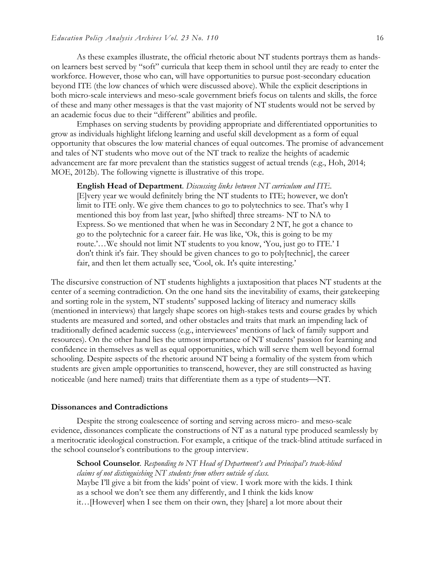As these examples illustrate, the official rhetoric about NT students portrays them as handson learners best served by "soft" curricula that keep them in school until they are ready to enter the workforce. However, those who can, will have opportunities to pursue post-secondary education beyond ITE (the low chances of which were discussed above). While the explicit descriptions in both micro-scale interviews and meso-scale government briefs focus on talents and skills, the force of these and many other messages is that the vast majority of NT students would not be served by an academic focus due to their "different" abilities and profile.

Emphases on serving students by providing appropriate and differentiated opportunities to grow as individuals highlight lifelong learning and useful skill development as a form of equal opportunity that obscures the low material chances of equal outcomes. The promise of advancement and tales of NT students who move out of the NT track to realize the heights of academic advancement are far more prevalent than the statistics suggest of actual trends (e.g., Hoh, 2014; MOE, 2012b). The following vignette is illustrative of this trope.

**English Head of Department***. Discussing links between NT curriculum and ITE.* [E]very year we would definitely bring the NT students to ITE; however, we don't limit to ITE only. We give them chances to go to polytechnics to see. That's why I mentioned this boy from last year, [who shifted] three streams- NT to NA to Express. So we mentioned that when he was in Secondary 2 NT, he got a chance to go to the polytechnic for a career fair. He was like, 'Ok, this is going to be my route.'…We should not limit NT students to you know, 'You, just go to ITE.' I don't think it's fair. They should be given chances to go to poly[technic], the career fair, and then let them actually see, 'Cool, ok. It's quite interesting.'

The discursive construction of NT students highlights a juxtaposition that places NT students at the center of a seeming contradiction. On the one hand sits the inevitability of exams, their gatekeeping and sorting role in the system, NT students' supposed lacking of literacy and numeracy skills (mentioned in interviews) that largely shape scores on high-stakes tests and course grades by which students are measured and sorted, and other obstacles and traits that mark an impending lack of traditionally defined academic success (e.g., interviewees' mentions of lack of family support and resources). On the other hand lies the utmost importance of NT students' passion for learning and confidence in themselves as well as equal opportunities, which will serve them well beyond formal schooling. Despite aspects of the rhetoric around NT being a formality of the system from which students are given ample opportunities to transcend, however, they are still constructed as having noticeable (and here named) traits that differentiate them as a type of students-NT.

#### **Dissonances and Contradictions**

Despite the strong coalescence of sorting and serving across micro- and meso-scale evidence, dissonances complicate the constructions of NT as a natural type produced seamlessly by a meritocratic ideological construction. For example, a critique of the track-blind attitude surfaced in the school counselor's contributions to the group interview.

**School Counselor***. Responding to NT Head of Department's and Principal's track-blind claims of not distinguishing NT students from others outside of class.*  Maybe I'll give a bit from the kids' point of view. I work more with the kids. I think as a school we don't see them any differently, and I think the kids know it…[However] when I see them on their own, they [share] a lot more about their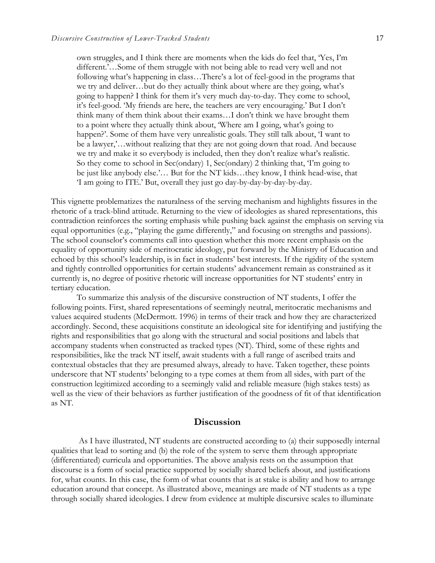own struggles, and I think there are moments when the kids do feel that, 'Yes, I'm different.'…Some of them struggle with not being able to read very well and not following what's happening in class…There's a lot of feel-good in the programs that we try and deliver…but do they actually think about where are they going, what's going to happen? I think for them it's very much day-to-day. They come to school, it's feel-good. 'My friends are here, the teachers are very encouraging.' But I don't think many of them think about their exams…I don't think we have brought them to a point where they actually think about, 'Where am I going, what's going to happen?'. Some of them have very unrealistic goals. They still talk about, 'I want to be a lawyer,'…without realizing that they are not going down that road. And because we try and make it so everybody is included, then they don't realize what's realistic. So they come to school in Sec(ondary) 1, Sec(ondary) 2 thinking that, 'I'm going to be just like anybody else.'… But for the NT kids…they know, I think head-wise, that 'I am going to ITE.' But, overall they just go day-by-day-by-day-by-day.

This vignette problematizes the naturalness of the serving mechanism and highlights fissures in the rhetoric of a track-blind attitude. Returning to the view of ideologies as shared representations, this contradiction reinforces the sorting emphasis while pushing back against the emphasis on serving via equal opportunities (e.g., "playing the game differently," and focusing on strengths and passions). The school counselor's comments call into question whether this more recent emphasis on the equality of opportunity side of meritocratic ideology, put forward by the Ministry of Education and echoed by this school's leadership, is in fact in students' best interests. If the rigidity of the system and tightly controlled opportunities for certain students' advancement remain as constrained as it currently is, no degree of positive rhetoric will increase opportunities for NT students' entry in tertiary education.

To summarize this analysis of the discursive construction of NT students, I offer the following points. First, shared representations of seemingly neutral, meritocratic mechanisms and values acquired students (McDermott. 1996) in terms of their track and how they are characterized accordingly. Second, these acquisitions constitute an ideological site for identifying and justifying the rights and responsibilities that go along with the structural and social positions and labels that accompany students when constructed as tracked types (NT). Third, some of these rights and responsibilities, like the track NT itself, await students with a full range of ascribed traits and contextual obstacles that they are presumed always, already to have. Taken together, these points underscore that NT students' belonging to a type comes at them from all sides, with part of the construction legitimized according to a seemingly valid and reliable measure (high stakes tests) as well as the view of their behaviors as further justification of the goodness of fit of that identification as NT.

### **Discussion**

As I have illustrated, NT students are constructed according to (a) their supposedly internal qualities that lead to sorting and (b) the role of the system to serve them through appropriate (differentiated) curricula and opportunities. The above analysis rests on the assumption that discourse is a form of social practice supported by socially shared beliefs about, and justifications for, what counts. In this case, the form of what counts that is at stake is ability and how to arrange education around that concept. As illustrated above, meanings are made of NT students as a type through socially shared ideologies. I drew from evidence at multiple discursive scales to illuminate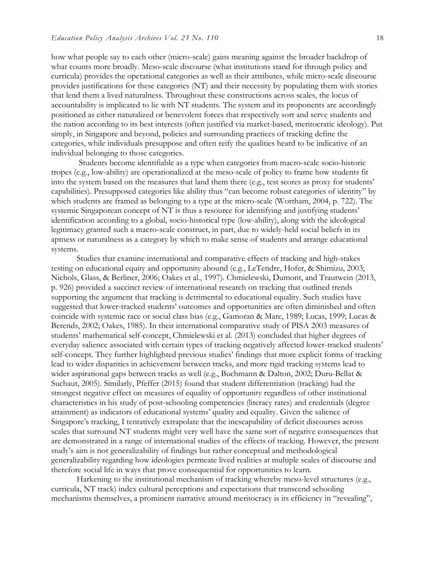how what people say to each other (micro-scale) gains meaning against the broader backdrop of what counts more broadly. Meso-scale discourse (what institutions stand for through policy and curricula) provides the operational categories as well as their attributes, while micro-scale discourse provides justifications for these categories (NT) and their necessity by populating them with stories that lend them a lived naturalness. Throughout these constructions across scales, the locus of accountability is implicated to lie with NT students. The system and its proponents are accordingly positioned as either naturalized or benevolent forces that respectively sort and serve students and the nation according to its best interests (often justified via market-based, meritocratic ideology). Put simply, in Singapore and beyond, policies and surrounding practices of tracking define the categories, while individuals presuppose and often reify the qualities heard to be indicative of an individual belonging to those categories.

Students become identifiable as a type when categories from macro-scale socio-historic tropes (e.g., low-ability) are operationalized at the meso-scale of policy to frame how students fit into the system based on the measures that land them there (e.g., test scores as proxy for students' capabilities). Presupposed categories like ability thus "can become robust categories of identity" by which students are framed as belonging to a type at the micro-scale (Wortham, 2004, p. 722). The systemic Singaporean concept of NT is thus a resource for identifying and justifying students' identification according to a global, socio-historical type (low-ability), along with the ideological legitimacy granted such a macro-scale construct, in part, due to widely-held social beliefs in its aptness or naturalness as a category by which to make sense of students and arrange educational systems.

Studies that examine international and comparative effects of tracking and high-stakes testing on educational equity and opportunity abound (e.g., LeTendre, Hofer, & Shimizu, 2003; Nichols, Glass, & Berliner, 2006; Oakes et al., 1997). Chmielewski, Dumont, and Trautwein (2013, p. 926) provided a succinct review of international research on tracking that outlined trends supporting the argument that tracking is detrimental to educational equality. Such studies have suggested that lower-tracked students' outcomes and opportunities are often diminished and often coincide with systemic race or social class bias (e.g., Gamoran & Mare, 1989; Lucas, 1999; Lucas & Berends, 2002; Oakes, 1985). In their international comparative study of PISA 2003 measures of students' mathematical self-concept, Chmielewski et al. (2013) concluded that higher degrees of everyday salience associated with certain types of tracking negatively affected lower-tracked students' self-concept. They further highlighted previous studies' findings that more explicit forms of tracking lead to wider disparities in achievement between tracks, and more rigid tracking systems lead to wider aspirational gaps between tracks as well (e.g., Buchmann & Dalton, 2002; Duru-Bellat & Suchaut, 2005). Similarly, Pfeffer (2015) found that student differentiation (tracking) had the strongest negative effect on measures of equality of opportunity regardless of other institutional characteristics in his study of post-schooling competencies (literacy rates) and credentials (degree attainment) as indicators of educational systems' quality and equality. Given the salience of Singapore's tracking, I tentatively extrapolate that the inescapability of deficit discourses across scales that surround NT students might very well have the same sort of negative consequences that are demonstrated in a range of international studies of the effects of tracking. However, the present study's aim is not generalizability of findings but rather conceptual and methodological generalizability regarding how ideologies permeate lived realities at multiple scales of discourse and therefore social life in ways that prove consequential for opportunities to learn.

Harkening to the institutional mechanism of tracking whereby meso-level structures (e.g., curricula, NT track) index cultural perceptions and expectations that transcend schooling mechanisms themselves, a prominent narrative around meritocracy is its efficiency in "revealing",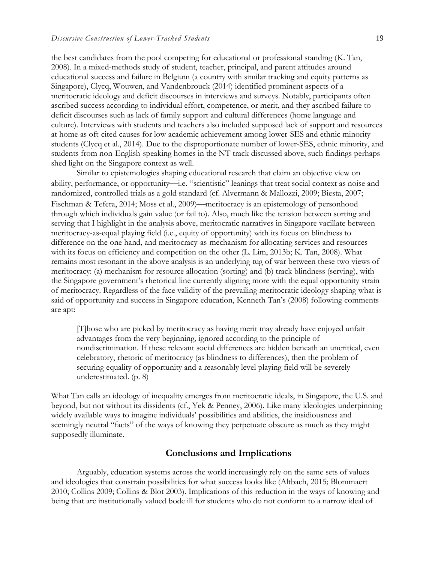the best candidates from the pool competing for educational or professional standing (K. Tan, 2008). In a mixed-methods study of student, teacher, principal, and parent attitudes around educational success and failure in Belgium (a country with similar tracking and equity patterns as Singapore), Clycq, Wouwen, and Vandenbrouck (2014) identified prominent aspects of a meritocratic ideology and deficit discourses in interviews and surveys. Notably, participants often ascribed success according to individual effort, competence, or merit, and they ascribed failure to deficit discourses such as lack of family support and cultural differences (home language and culture). Interviews with students and teachers also included supposed lack of support and resources at home as oft-cited causes for low academic achievement among lower-SES and ethnic minority students (Clycq et al., 2014). Due to the disproportionate number of lower-SES, ethnic minority, and students from non-English-speaking homes in the NT track discussed above, such findings perhaps shed light on the Singapore context as well.

Similar to epistemologies shaping educational research that claim an objective view on ability, performance, or opportunity-i.e. "scientistic" leanings that treat social context as noise and randomized, controlled trials as a gold standard (cf. Alvermann & Mallozzi, 2009; Biesta, 2007; Fischman & Tefera, 2014; Moss et al., 2009)—meritocracy is an epistemology of personhood through which individuals gain value (or fail to). Also, much like the tension between sorting and serving that I highlight in the analysis above, meritocratic narratives in Singapore vacillate between meritocracy-as-equal playing field (i.e., equity of opportunity) with its focus on blindness to difference on the one hand, and meritocracy-as-mechanism for allocating services and resources with its focus on efficiency and competition on the other (L. Lim, 2013b; K. Tan, 2008). What remains most resonant in the above analysis is an underlying tug of war between these two views of meritocracy: (a) mechanism for resource allocation (sorting) and (b) track blindness (serving), with the Singapore government's rhetorical line currently aligning more with the equal opportunity strain of meritocracy. Regardless of the face validity of the prevailing meritocratic ideology shaping what is said of opportunity and success in Singapore education, Kenneth Tan's (2008) following comments are apt:

[T]hose who are picked by meritocracy as having merit may already have enjoyed unfair advantages from the very beginning, ignored according to the principle of nondiscrimination. If these relevant social differences are hidden beneath an uncritical, even celebratory, rhetoric of meritocracy (as blindness to differences), then the problem of securing equality of opportunity and a reasonably level playing field will be severely underestimated. (p. 8)

What Tan calls an ideology of inequality emerges from meritocratic ideals, in Singapore, the U.S. and beyond, but not without its dissidents (cf., Yek & Penney, 2006). Like many ideologies underpinning widely available ways to imagine individuals' possibilities and abilities, the insidiousness and seemingly neutral "facts" of the ways of knowing they perpetuate obscure as much as they might supposedly illuminate.

## **Conclusions and Implications**

Arguably, education systems across the world increasingly rely on the same sets of values and ideologies that constrain possibilities for what success looks like (Altbach, 2015; Blommaert 2010; Collins 2009; Collins & Blot 2003). Implications of this reduction in the ways of knowing and being that are institutionally valued bode ill for students who do not conform to a narrow ideal of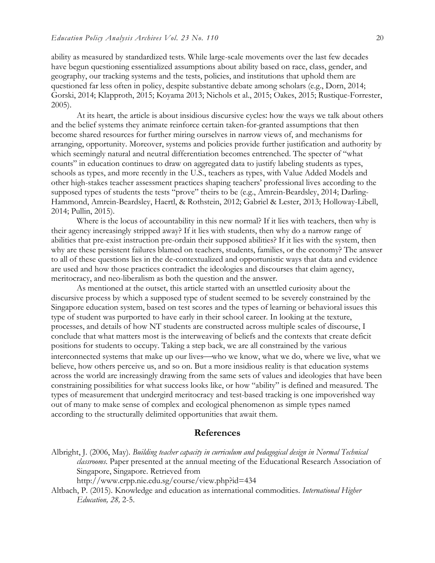ability as measured by standardized tests. While large-scale movements over the last few decades have begun questioning essentialized assumptions about ability based on race, class, gender, and geography, our tracking systems and the tests, policies, and institutions that uphold them are questioned far less often in policy, despite substantive debate among scholars (e.g., Dorn, 2014; Gorski, 2014; Klapproth, 2015; Koyama 2013; Nichols et al., 2015; Oakes, 2015; Rustique-Forrester, 2005).

At its heart, the article is about insidious discursive cycles: how the ways we talk about others and the belief systems they animate reinforce certain taken-for-granted assumptions that then become shared resources for further miring ourselves in narrow views of, and mechanisms for arranging, opportunity. Moreover, systems and policies provide further justification and authority by which seemingly natural and neutral differentiation becomes entrenched. The specter of "what counts" in education continues to draw on aggregated data to justify labeling students as types, schools as types, and more recently in the U.S., teachers as types, with Value Added Models and other high-stakes teacher assessment practices shaping teachers' professional lives according to the supposed types of students the tests "prove" theirs to be (e.g., Amrein-Beardsley, 2014; Darling-Hammond, Amrein-Beardsley, Haertl, & Rothstein, 2012; Gabriel & Lester, 2013; Holloway-Libell, 2014; Pullin, 2015).

Where is the locus of accountability in this new normal? If it lies with teachers, then why is their agency increasingly stripped away? If it lies with students, then why do a narrow range of abilities that pre-exist instruction pre-ordain their supposed abilities? If it lies with the system, then why are these persistent failures blamed on teachers, students, families, or the economy? The answer to all of these questions lies in the de-contextualized and opportunistic ways that data and evidence are used and how those practices contradict the ideologies and discourses that claim agency, meritocracy, and neo-liberalism as both the question and the answer.

As mentioned at the outset, this article started with an unsettled curiosity about the discursive process by which a supposed type of student seemed to be severely constrained by the Singapore education system, based on test scores and the types of learning or behavioral issues this type of student was purported to have early in their school career. In looking at the texture, processes, and details of how NT students are constructed across multiple scales of discourse, I conclude that what matters most is the interweaving of beliefs and the contexts that create deficit positions for students to occupy. Taking a step back, we are all constrained by the various interconnected systems that make up our lives—who we know, what we do, where we live, what we believe, how others perceive us, and so on. But a more insidious reality is that education systems across the world are increasingly drawing from the same sets of values and ideologies that have been constraining possibilities for what success looks like, or how "ability" is defined and measured. The types of measurement that undergird meritocracy and test-based tracking is one impoverished way out of many to make sense of complex and ecological phenomenon as simple types named according to the structurally delimited opportunities that await them.

## **References**

Albright, J. (2006, May). *Building teacher capacity in curriculum and pedagogical design in Normal Technical classrooms*. Paper presented at the annual meeting of the Educational Research Association of Singapore, Singapore. Retrieved from

http://www.crpp.nie.edu.sg/course/view.php?id=434

Altbach, P. (2015). Knowledge and education as international commodities. *International Higher Education, 28,* 2-5.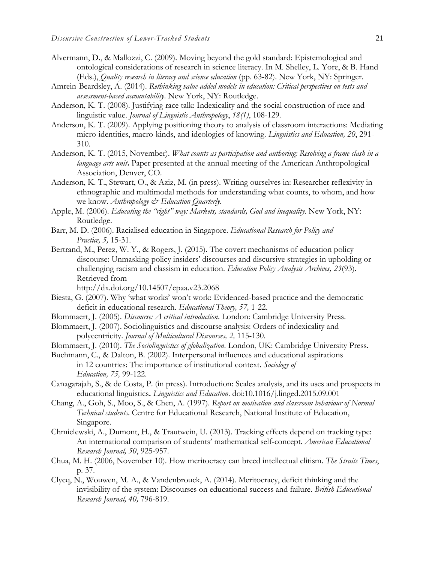- Alvermann, D., & Mallozzi, C. (2009). Moving beyond the gold standard: Epistemological and ontological considerations of research in science literacy. In M. Shelley, L. Yore, & B. Hand (Eds.), *Quality research in literacy and science education* (pp. 63-82). New York, NY: Springer.
- Amrein-Beardsley, A. (2014). *Rethinking value-added models in education: Critical perspectives on tests and assessment-based accountability*. New York, NY: Routledge.
- Anderson, K. T. (2008). Justifying race talk: Indexicality and the social construction of race and linguistic value. *Journal of Linguistic Anthropology*, *18(1)*, 108-129*.*
- Anderson, K. T. (2009). Applying positioning theory to analysis of classroom interactions: Mediating micro-identities, macro-kinds, and ideologies of knowing. *Linguistics and Education, 20*, 291- 310*.*
- Anderson, K. T. (2015, November). *What counts as participation and authoring: Resolving a frame clash in a language arts unit***.** Paper presented at the annual meeting of the American Anthropological Association, Denver, CO.
- Anderson, K. T., Stewart, O., & Aziz, M. (in press). Writing ourselves in: Researcher reflexivity in ethnographic and multimodal methods for understanding what counts, to whom, and how we know. *Anthropology & Education Quarterly*.
- Apple, M. (2006). *Educating the "right" way: Markets, standards, God and inequality*. New York, NY: Routledge.
- Barr, M. D. (2006). Racialised education in Singapore. *Educational Research for Policy and Practice, 5,* 15-31.
- Bertrand, M., Perez, W. Y., & Rogers, J. (2015). The covert mechanisms of education policy discourse: Unmasking policy insiders' discourses and discursive strategies in upholding or challenging racism and classism in education. *Education Policy Analysis Archives, 23*(93). Retrieved from

http://dx.doi.org/10.14507/epaa.v23.2068

- Biesta, G. (2007). Why 'what works' won't work: Evidenced-based practice and the democratic deficit in educational research. *Educational Theory, 57,* 1-22.
- Blommaert, J. (2005). *Discourse: A critical introduction*. London: Cambridge University Press.
- Blommaert, J. (2007). Sociolinguistics and discourse analysis: Orders of indexicality and polycentricity. *Journal of Multicultural Discourses, 2,* 115-130.
- Blommaert, J. (2010). *The Sociolinguistics of globalization*. London, UK: Cambridge University Press.
- Buchmann, C., & Dalton, B. (2002). Interpersonal influences and educational aspirations in 12 countries: The importance of institutional context. *Sociology of Education, 75,* 99-122.
- Canagarajah, S., & de Costa, P. (in press). Introduction: Scales analysis, and its uses and prospects in educational linguistics**.** *Linguistics and Education*. doi:10.1016/j.linged.2015.09.001
- Chang, A., Goh, S., Moo, S., & Chen, A. (1997). *Report on motivation and classroom behaviour of Normal Technical students*. Centre for Educational Research, National Institute of Education, Singapore.
- Chmielewski, A., Dumont, H., & Trautwein, U. (2013). Tracking effects depend on tracking type: An international comparison of students' mathematical self-concept. *American Educational Research Journal, 50*, 925-957.
- Chua, M. H. (2006, November 10). How meritocracy can breed intellectual elitism. *The Straits Times*, p. 37.
- Clycq, N., Wouwen, M. A., & Vandenbrouck, A. (2014). Meritocracy, deficit thinking and the invisibility of the system: Discourses on educational success and failure. *British Educational Research Journal, 40,* 796-819.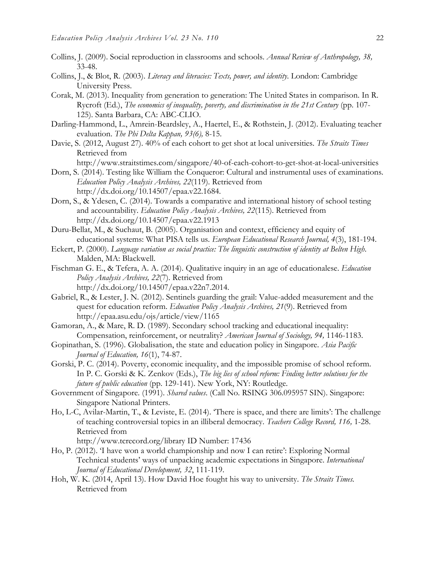- Collins, J. (2009). Social reproduction in classrooms and schools. *Annual Review of Anthropology, 38,* 33-48.
- Collins, J., & Blot, R. (2003). *Literacy and literacies: Texts, power, and identity*. London: Cambridge University Press.
- Corak, M. (2013). Inequality from generation to generation: The United States in comparison. In R. Rycroft (Ed.), *The economics of inequality, poverty, and discrimination in the 21st Century* (pp. 107- 125). Santa Barbara, CA: ABC-CLIO.
- Darling-Hammond, L., Amrein-Beardsley, A., Haertel, E., & Rothstein, J. (2012). Evaluating teacher evaluation. *The Phi Delta Kappan, 93(6),* 8-15.
- Davie, S. (2012, August 27). 40% of each cohort to get shot at local universities. *The Straits Times* Retrieved from
	- http://www.straitstimes.com/singapore/40-of-each-cohort-to-get-shot-at-local-universities
- Dorn, S. (2014). Testing like William the Conqueror: Cultural and instrumental uses of examinations. *Education Policy Analysis Archives, 22*(119). Retrieved from http://dx.doi.org/10.14507/epaa.v22.1684.
- Dorn, S., & Ydesen, C. (2014). Towards a comparative and international history of school testing and accountability. *Education Policy Analysis Archives, 22*(115). Retrieved from http://dx.doi.org/10.14507/epaa.v22.1913
- Duru-Bellat, M., & Suchaut, B. (2005). Organisation and context, efficiency and equity of educational systems: What PISA tells us. *European Educational Research Journal, 4*(3), 181-194.
- Eckert, P. (2000). *Language variation as social practice: The linguistic construction of identity at Belten High*. Malden, MA: Blackwell.
- Fischman G. E., & Tefera, A. A. (2014). Qualitative inquiry in an age of educationalese. *Education Policy Analysis Archives, 22*(7). Retrieved from http://dx.doi.org/10.14507/epaa.v22n7.2014.
- Gabriel, R., & Lester, J. N. (2012). Sentinels guarding the grail: Value-added measurement and the quest for education reform. *Education Policy Analysis Archives, 21*(9). Retrieved from http://epaa.asu.edu/ojs/article/view/1165
- Gamoran, A., & Mare, R. D. (1989). Secondary school tracking and educational inequality: Compensation, reinforcement, or neutrality? *American Journal of Sociology, 94,* 1146-1183.
- Gopinathan, S. (1996). Globalisation, the state and education policy in Singapore. *Asia Pacific Journal of Education, 16*(1), 74-87.
- Gorski, P. C. (2014). Poverty, economic inequality, and the impossible promise of school reform. In P. C. Gorski & K. Zenkov (Eds.), *The big lies of school reform: Finding better solutions for the future of public education* (pp. 129-141). New York, NY: Routledge.
- Government of Singapore. (1991). *Shared values*. (Call No. RSING 306.095957 SIN). Singapore: Singapore National Printers.
- Ho, L-C, Avilar-Martin, T., & Leviste, E. (2014). 'There is space, and there are limits': The challenge of teaching controversial topics in an illiberal democracy. *Teachers College Record, 116,* 1-28. Retrieved from

http://www.tcrecord.org/library ID Number: 17436

- Ho, P. (2012). 'I have won a world championship and now I can retire': Exploring Normal Technical students' ways of unpacking academic expectations in Singapore. *International Journal of Educational Development, 32*, 111-119.
- Hoh, W. K. (2014, April 13). How David Hoe fought his way to university. *The Straits Times.*  Retrieved from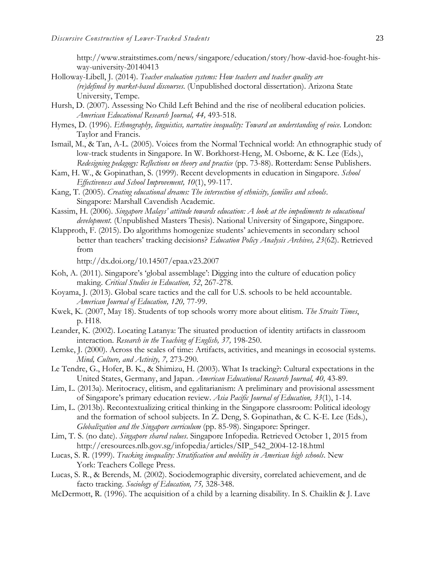http://www.straitstimes.com/news/singapore/education/story/how-david-hoe-fought-hisway-university-20140413

- Holloway-Libell, J. (2014). *Teacher evaluation systems: How teachers and teacher quality are (re)defined by market-based discourses*. (Unpublished doctoral dissertation). Arizona State University, Tempe.
- Hursh, D. (2007). Assessing No Child Left Behind and the rise of neoliberal education policies. *American Educational Research Journal, 44,* 493-518.
- Hymes, D. (1996). *Ethnography, linguistics, narrative inequality: Toward an understanding of voice*. London: Taylor and Francis.
- Ismail, M., & Tan, A-L. (2005). Voices from the Normal Technical world: An ethnographic study of low-track students in Singapore. In W. Borkhorst-Heng, M. Osborne, & K. Lee (Eds.), *Redesigning pedagogy: Reflections on theory and practice* (pp. 73-88). Rotterdam: Sense Publishers.
- Kam, H. W., & Gopinathan, S. (1999). Recent developments in education in Singapore. *School Effectiveness and School Improvement, 10*(1), 99-117.
- Kang, T. (2005). *Creating educational dreams: The intersection of ethnicity, families and schools*. Singapore: Marshall Cavendish Academic.
- Kassim, H. (2006). *Singapore Malays' attitude towards education: A look at the impediments to educational development.* (Unpublished Masters Thesis). National University of Singapore, Singapore.
- Klapproth, F. (2015). Do algorithms homogenize students' achievements in secondary school better than teachers' tracking decisions? *Education Policy Analysis Archives, 23*(62). Retrieved from

http://dx.doi.org/10.14507/epaa.v23.2007

- Koh, A. (2011). Singapore's 'global assemblage': Digging into the culture of education policy making. *Critical Studies in Education, 52*, 267-278.
- Koyama, J. (2013). Global scare tactics and the call for U.S. schools to be held accountable. *American Journal of Education, 120,* 77-99.
- Kwek, K. (2007, May 18). Students of top schools worry more about elitism. *The Straits Times*, p. H18.
- Leander, K. (2002). Locating Latanya: The situated production of identity artifacts in classroom interaction. *Research in the Teaching of English, 37,* 198-250.
- Lemke, J. (2000). Across the scales of time: Artifacts, activities, and meanings in ecosocial systems. *Mind, Culture, and Activity, 7,* 273-290.
- Le Tendre, G., Hofer, B. K., & Shimizu, H. (2003). What Is tracking?: Cultural expectations in the United States, Germany, and Japan. *American Educational Research Journal, 40,* 43-89.
- Lim, L. (2013a). Meritocracy, elitism, and egalitarianism: A preliminary and provisional assessment of Singapore's primary education review. *Asia Pacific Journal of Education, 33*(1), 1-14.
- Lim, L. (2013b). Recontextualizing critical thinking in the Singapore classroom: Political ideology and the formation of school subjects. In Z. Deng, S. Gopinathan, & C. K-E. Lee (Eds.), *Globalization and the Singapore curriculum* (pp. 85-98). Singapore: Springer.
- Lim, T. S. (no date). *Singapore shared values*. Singapore Infopedia. Retrieved October 1, 2015 from http://eresources.nlb.gov.sg/infopedia/articles/SIP\_542\_2004-12-18.html
- Lucas, S. R. (1999). *Tracking inequality: Stratification and mobility in American high schools*. New York: Teachers College Press.
- Lucas, S. R., & Berends, M. (2002). Sociodemographic diversity, correlated achievement, and de facto tracking. *Sociology of Education, 75,* 328-348.
- McDermott, R. (1996). The acquisition of a child by a learning disability. In S. Chaiklin & J. Lave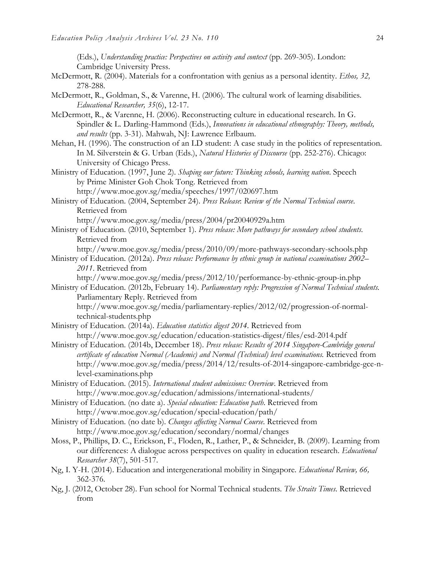(Eds.), *Understanding practice: Perspectives on activity and context* (pp. 269-305). London: Cambridge University Press.

- McDermott, R. (2004). Materials for a confrontation with genius as a personal identity. *Ethos, 32,* 278-288.
- McDermott, R., Goldman, S., & Varenne, H. (2006). The cultural work of learning disabilities. *Educational Researcher, 35*(6), 12-17.
- McDermott, R., & Varenne, H. (2006). Reconstructing culture in educational research. In G. Spindler & L. Darling-Hammond (Eds.), *Innovations in educational ethnography: Theory, methods, and results* (pp. 3-31). Mahwah, NJ: Lawrence Erlbaum.
- Mehan, H. (1996). The construction of an LD student: A case study in the politics of representation. In M. Silverstein & G. Urban (Eds.), *Natural Histories of Discourse* (pp. 252-276). Chicago: University of Chicago Press.
- Ministry of Education. (1997, June 2). *Shaping our future: Thinking schools, learning nation*. Speech by Prime Minister Goh Chok Tong. Retrieved from <http://www.moe.gov.sg/media/speeches/1997/020697.htm>
- Ministry of Education. (2004, September 24). *Press Release*: *Review of the Normal Technical course*. Retrieved from

<http://www.moe.gov.sg/media/press/2004/pr20040929a.htm>

- Ministry of Education. (2010, September 1). *Press release: More pathways for secondary school students*. Retrieved from
	- http://www.moe.gov.sg/media/press/2010/09/more-pathways-secondary-schools.php
- Ministry of Education. (2012a). *Press release: Performance by ethnic group in national examinations 2002– 2011*. Retrieved from
	- http://www.moe.gov.sg/media/press/2012/10/performance-by-ethnic-group-in.php
- Ministry of Education. (2012b, February 14). *Parliamentary reply: Progression of Normal Technical students.*  Parliamentary Reply. Retrieved from http://www.moe.gov.sg/media/parliamentary-replies/2012/02/progression-of-normaltechnical-students.php
- Ministry of Education. (2014a). *Education statistics digest 2014*. Retrieved from http://www.moe.gov.sg/education/education-statistics-digest/files/esd-2014.pdf
- Ministry of Education. (2014b, December 18). *Press release: Results of 2014 Singapore-Cambridge general certificate of education Normal (Academic) and Normal (Technical) level examinations.* Retrieved from http://www.moe.gov.sg/media/press/2014/12/results-of-2014-singapore-cambridge-gce-nlevel-examinations.php
- Ministry of Education. (2015). *International student admissions: Overview*. Retrieved from http://www.moe.gov.sg/education/admissions/international-students/
- Ministry of Education. (no date a). *Special education: Education path*. Retrieved from http://www.moe.gov.sg/education/special-education/path/
- Ministry of Education. (no date b). *Changes affecting Normal Course*. Retrieved from http://www.moe.gov.sg/education/secondary/normal/changes
- Moss, P., Phillips, D. C., Erickson, F., Floden, R., Lather, P., & Schneider, B. (2009). Learning from our differences: A dialogue across perspectives on quality in education research. *Educational Researcher 38*(7), 501-517.
- Ng, I. Y-H. (2014). Education and intergenerational mobility in Singapore. *Educational Review, 66,*  362-376.
- Ng, J. (2012, October 28). Fun school for Normal Technical students. *The Straits Times*. Retrieved from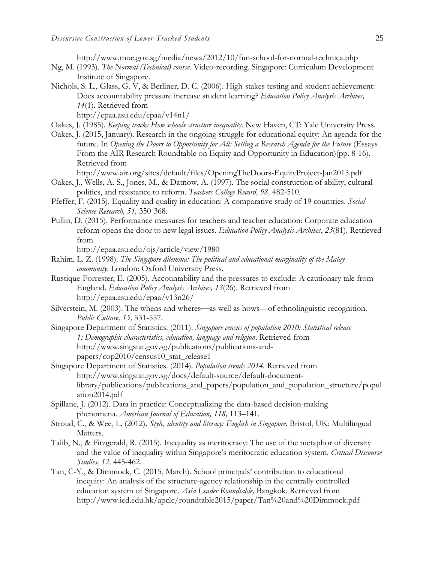http://www.moe.gov.sg/media/news/2012/10/fun-school-for-normal-technica.php

- Ng, M. (1993). *The Normal (Technical) course*. Video-recording. Singapore: Curriculum Development Institute of Singapore.
- Nichols, S. L., Glass, G. V, & Berliner, D. C. (2006). High-stakes testing and student achievement: Does accountability pressure increase student learning? *Education Policy Analysis Archives, 14*(1). Retrieved from
	- http://epaa.asu.edu/epaa/v14n1/
- Oakes, J. (1985). *Keeping track: How schools structure inequality*. New Haven, CT: Yale University Press.
- Oakes, J. (2015, January). Research in the ongoing struggle for educational equity: An agenda for the future. In *Opening the Doors to Opportunity for All: Setting a Research Agenda for the Future* (Essays From the AIR Research Roundtable on Equity and Opportunity in Education)(pp. 8-16). Retrieved from

http://www.air.org/sites/default/files/OpeningTheDoors-EquityProject-Jan2015.pdf

- Oakes, J., Wells, A. S., Jones, M., & Datnow, A. (1997). The social construction of ability, cultural politics, and resistance to reform. *Teachers College Record, 98,* 482-510.
- Pfeffer, F. (2015). Equality and quality in education: A comparative study of 19 countries. *Social Science Research, 51,* 350-368.
- Pullin, D. (2015). Performance measures for teachers and teacher education: Corporate education reform opens the door to new legal issues. *Education Policy Analysis Archives*, *23*(81). Retrieved from

http://epaa.asu.edu/ojs/article/view/1980

- Rahim, L. Z. (1998). *The Singapore dilemma: The political and educational marginality of the Malay community*. London: Oxford University Press.
- Rustique-Forrester, E. (2005). Accountability and the pressures to exclude: A cautionary tale from England. *Education Policy Analysis Archives, 13*(26). Retrieved from http://epaa.asu.edu/epaa/v13n26/
- Silverstein, M. (2003). The whens and wheres—as well as hows—of ethnolinguistic recognition. *Public Culture, 15,* 531-557.
- Singapore Department of Statistics. (2011). *Singapore census of population 2010: Statistical release 1: Demographic characteristics, education, language and religion*. Retrieved from http://www.singstat.gov.sg/publications/publications-andpapers/cop2010/census10\_stat\_release1
- Singapore Department of Statistics. (2014). *Population trends 2014.* Retrieved from http://www.singstat.gov.sg/docs/default-source/default-documentlibrary/publications/publications\_and\_papers/population\_and\_population\_structure/popul ation2014.pdf
- Spillane, J. (2012). Data in practice: Conceptualizing the data-based decision-making phenomena. *American Journal of Education, 118,* 113–141.
- Stroud, C., & Wee, L. (2012). *Style, identity and literacy: English in Singapore*. Bristol, UK: Multilingual Matters.
- Talib, N., & Fitzgerald, R. (2015). Inequality as meritocracy: The use of the metaphor of diversity and the value of inequality within Singapore's meritocratic education system. *Critical Discourse Studies, 12,* 445-462.
- Tan, C-Y., & Dimmock, C. (2015, March). School principals' contribution to educational inequity: An analysis of the structure-agency relationship in the centrally controlled education system of Singapore. *Asia Leader Roundtable,* Bangkok. Retrieved from http://www.ied.edu.hk/apclc/roundtable2015/paper/Tan%20and%20Dimmock.pdf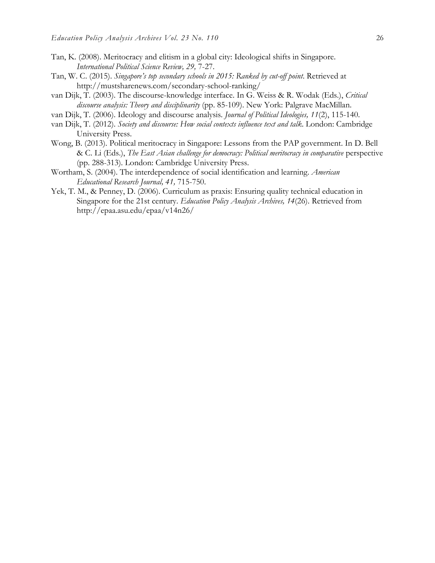- Tan, K. (2008). Meritocracy and elitism in a global city: Ideological shifts in Singapore. *International Political Science Review, 29,* 7-27.
- Tan, W. C. (2015). *Singapore's top secondary schools in 2015: Ranked by cut-off point*. Retrieved at http://mustsharenews.com/secondary-school-ranking/
- van Dijk, T. (2003). The discourse-knowledge interface. In G. Weiss & R. Wodak (Eds.), *Critical discourse analysis: Theory and disciplinarity* (pp. 85-109). New York: Palgrave MacMillan.
- van Dijk, T. (2006). Ideology and discourse analysis. *Journal of Political Ideologies, 11*(2), 115-140.
- van Dijk, T. (2012). *Society and discourse: How social contexts influence text and talk*. London: Cambridge University Press.
- Wong, B. (2013). Political meritocracy in Singapore: Lessons from the PAP government. In D. Bell & C. Li (Eds.), *The East Asian challenge for democracy: Political meritocracy in comparative* perspective (pp. 288-313). London: Cambridge University Press.
- Wortham, S. (2004). The interdependence of social identification and learning. *American Educational Research Journal, 41,* 715-750.
- Yek, T. M., & Penney, D. (2006). Curriculum as praxis: Ensuring quality technical education in Singapore for the 21st century. *Education Policy Analysis Archives, 14*(26). Retrieved from http://epaa.asu.edu/epaa/v14n26/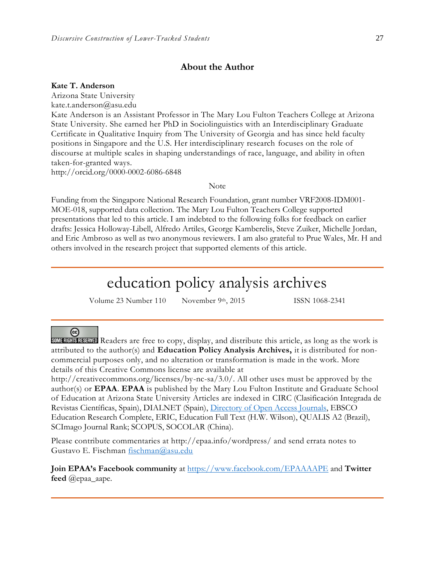## **About the Author**

#### **Kate T. Anderson**

Arizona State University kate.t.anderson@asu.edu Kate Anderson is an Assistant Professor in The Mary Lou Fulton Teachers College at Arizona State University. She earned her PhD in Sociolinguistics with an Interdisciplinary Graduate Certificate in Qualitative Inquiry from The University of Georgia and has since held faculty positions in Singapore and the U.S. Her interdisciplinary research focuses on the role of discourse at multiple scales in shaping understandings of race, language, and ability in often taken-for-granted ways. http://orcid.org/0000-0002-6086-6848

Note

Funding from the Singapore National Research Foundation, grant number VRF2008-IDM001- MOE-018, supported data collection. The Mary Lou Fulton Teachers College supported presentations that led to this article. I am indebted to the following folks for feedback on earlier drafts: Jessica Holloway-Libell, Alfredo Artiles, George Kamberelis, Steve Zuiker, Michelle Jordan, and Eric Ambroso as well as two anonymous reviewers. I am also grateful to Prue Wales, Mr. H and others involved in the research project that supported elements of this article.

## education policy analysis archives

Volume 23 Number 110 November 9th, 2015 ISSN 1068-2341

#### (လ)

SOME RIGHTS RESERVED Readers are free to copy, display, and distribute this article, as long as the work is attributed to the author(s) and **Education Policy Analysis Archives,** it is distributed for noncommercial purposes only, and no alteration or transformation is made in the work. More details of this Creative Commons license are available at

http://creativecommons.org/licenses/by-nc-sa/3.0/. All other uses must be approved by the author(s) or **EPAA**. **EPAA** is published by the Mary Lou Fulton Institute and Graduate School of Education at Arizona State University Articles are indexed in CIRC (Clasificación Integrada de Revistas Científicas, Spain), DIALNET (Spain), [Directory of Open Access Journals,](http://www.doaj.org/) EBSCO Education Research Complete, ERIC, Education Full Text (H.W. Wilson), QUALIS A2 (Brazil), SCImago Journal Rank; SCOPUS, SOCOLAR (China).

Please contribute commentaries at http://epaa.info/wordpress/ and send errata notes to Gustavo E. Fischman [fischman@asu.edu](mailto:fischman@asu.edu)

**Join EPAA's Facebook community** at<https://www.facebook.com/EPAAAAPE> and **Twitter feed** @epaa\_aape.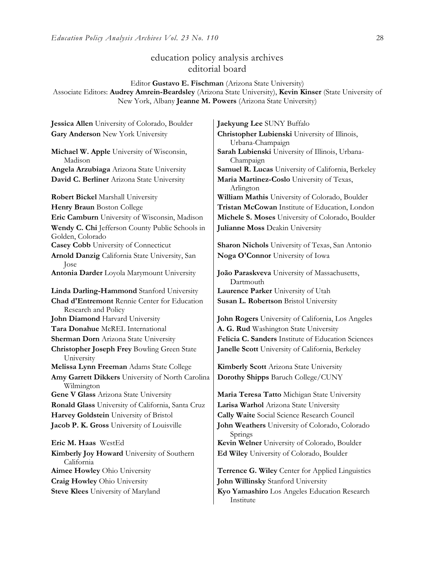## education policy analysis archives editorial board

Editor **Gustavo E. Fischman** (Arizona State University) Associate Editors: **Audrey Amrein-Beardsley** (Arizona State University), **Kevin Kinser** (State University of New York, Albany **Jeanne M. Powers** (Arizona State University)

**Jessica Allen** University of Colorado, Boulder **Jaekyung Lee** SUNY Buffalo **Gary Anderson** New York University **Christopher Lubienski** University of Illinois, Urbana-Champaign **Michael W. Apple** University of Wisconsin, Madison **Sarah Lubienski** University of Illinois, Urbana-Champaign **Angela Arzubiaga** Arizona State University **Samuel R. Lucas** University of California, Berkeley **David C. Berliner** Arizona State University **Maria Martinez-Coslo** University of Texas, Arlington **Robert Bickel Marshall University <b>William Mathis** University of Colorado, Boulder **Henry Braun** Boston College **Tristan McCowan** Institute of Education, London **Eric Camburn** University of Wisconsin, Madison | Michele S. Moses University of Colorado, Boulder **Wendy C. Chi** Jefferson County Public Schools in Golden, Colorado **Julianne Moss** Deakin University **Casey Cobb** University of Connecticut **Sharon Nichols** University of Texas, San Antonio **Arnold Danzig** California State University, San Jose **Noga O'Connor** University of Iowa **Antonia Darder** Loyola Marymount University **João Paraskveva** University of Massachusetts, Dartmouth **Linda Darling-Hammond** Stanford University **Laurence Parker** University of Utah **Chad d'Entremont** Rennie Center for Education Research and Policy **Susan L. Robertson** Bristol University **John Diamond** Harvard University **John Rogers** University of California, Los Angeles **Tara Donahue** McREL International **A. G. Rud** Washington State University **Sherman Dorn** Arizona State University **Felicia C. Sanders** Institute of Education Sciences **Christopher Joseph Frey** Bowling Green State University **Janelle Scott** University of California, Berkeley **Melissa Lynn Freeman** Adams State College **Kimberly Scott** Arizona State University **Amy Garrett Dikkers** University of North Carolina Wilmington **Dorothy Shipps** Baruch College/CUNY **Gene V Glass** Arizona State University **Maria Teresa Tatto** Michigan State University **Ronald Glass** University of California, Santa Cruz **Larisa Warhol** Arizona State University **Harvey Goldstein** University of Bristol **Cally Waite** Social Science Research Council **Jacob P. K. Gross** University of Louisville **John Weathers** University of Colorado, Colorado Springs **Eric M. Haas** WestEd **Kevin Welner** University of Colorado, Boulder **Kimberly Joy Howard** University of Southern California **Ed Wiley** University of Colorado, Boulder **Aimee Howley** Ohio University **Terrence G. Wiley** Center for Applied Linguistics **Craig Howley** Ohio University **John Willinsky** Stanford University **Steve Klees** University of Maryland **Kyo Yamashiro** Los Angeles Education Research Institute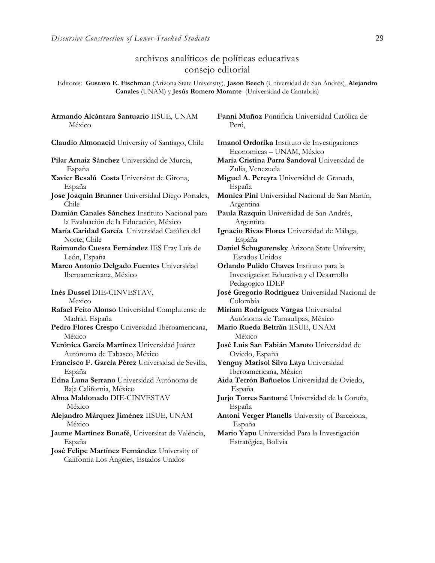**Armando Alcántara Santuario** IISUE, UNAM

## archivos analíticos de políticas educativas consejo editorial

Editores: **Gustavo E. Fischman** (Arizona State University), **Jason Beech** (Universidad de San Andrés), **Alejandro Canales** (UNAM) y **Jesús Romero Morante** (Universidad de Cantabria)

México **Claudio Almonacid** University of Santiago, Chile **Imanol Ordorika** Instituto de Investigaciones **Pilar Arnaiz Sánchez** Universidad de Murcia, España **Xavier Besalú Costa** Universitat de Girona, España **Jose Joaquin Brunner** Universidad Diego Portales, Chile **Damián Canales Sánchez** Instituto Nacional para la Evaluación de la Educación, México **María Caridad García** Universidad Católica del Norte, Chile **Raimundo Cuesta Fernández** IES Fray Luis de León, España **Marco Antonio Delgado Fuentes** Universidad Iberoamericana, México **Inés Dussel** DIE**-**CINVESTAV, Mexico **Rafael Feito Alonso** Universidad Complutense de Madrid. España **Pedro Flores Crespo** Universidad Iberoamericana, México **Verónica García Martínez** Universidad Juárez Autónoma de Tabasco, México **Francisco F. García Pérez** Universidad de Sevilla, España **Edna Luna Serrano** Universidad Autónoma de Baja California, México **Alma Maldonado** DIE-CINVESTAV México **Alejandro Márquez Jiménez** IISUE, UNAM México **Jaume Martínez Bonafé**, Universitat de València, España **José Felipe Martínez Fernández** University of California Los Angeles, Estados Unidos

**Fanni Muñoz** Pontificia Universidad Católica de Perú,

Economicas – UNAM, México **Maria Cristina Parra Sandoval** Universidad de Zulia, Venezuela **Miguel A. Pereyra** Universidad de Granada, España **Monica Pini** Universidad Nacional de San Martín, Argentina **Paula Razquin** Universidad de San Andrés, Argentina **Ignacio Rivas Flores** Universidad de Málaga, España **Daniel Schugurensky** Arizona State University, Estados Unidos **Orlando Pulido Chaves** Instituto para la Investigacion Educativa y el Desarrollo Pedagogico IDEP **José Gregorio Rodríguez** Universidad Nacional de Colombia **Miriam Rodríguez Vargas** Universidad Autónoma de Tamaulipas, México **Mario Rueda Beltrán** IISUE, UNAM México **José Luis San Fabián Maroto** Universidad de Oviedo, España **Yengny Marisol Silva Laya** Universidad Iberoamericana, México **Aida Terrón Bañuelos** Universidad de Oviedo, España **Jurjo Torres Santomé** Universidad de la Coruña, España **Antoni Verger Planells** University of Barcelona, España **Mario Yapu** Universidad Para la Investigación

Estratégica, Bolivia